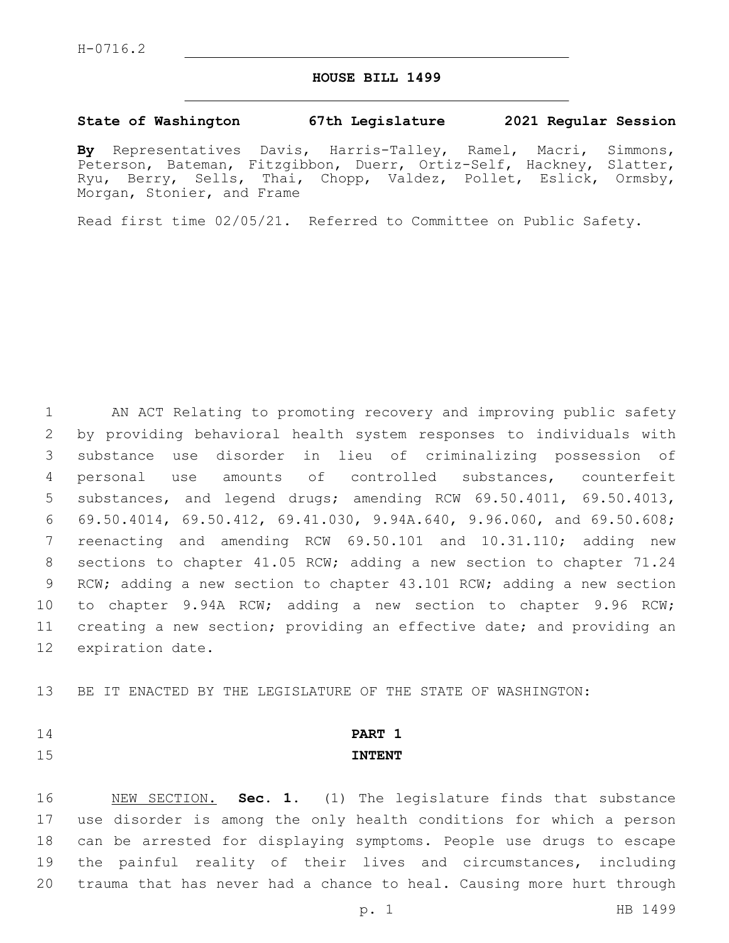#### **HOUSE BILL 1499**

#### **State of Washington 67th Legislature 2021 Regular Session**

**By** Representatives Davis, Harris-Talley, Ramel, Macri, Simmons, Peterson, Bateman, Fitzgibbon, Duerr, Ortiz-Self, Hackney, Slatter, Ryu, Berry, Sells, Thai, Chopp, Valdez, Pollet, Eslick, Ormsby, Morgan, Stonier, and Frame

Read first time 02/05/21. Referred to Committee on Public Safety.

 AN ACT Relating to promoting recovery and improving public safety by providing behavioral health system responses to individuals with substance use disorder in lieu of criminalizing possession of personal use amounts of controlled substances, counterfeit substances, and legend drugs; amending RCW 69.50.4011, 69.50.4013, 69.50.4014, 69.50.412, 69.41.030, 9.94A.640, 9.96.060, and 69.50.608; reenacting and amending RCW 69.50.101 and 10.31.110; adding new sections to chapter 41.05 RCW; adding a new section to chapter 71.24 RCW; adding a new section to chapter 43.101 RCW; adding a new section to chapter 9.94A RCW; adding a new section to chapter 9.96 RCW; creating a new section; providing an effective date; and providing an 12 expiration date.

BE IT ENACTED BY THE LEGISLATURE OF THE STATE OF WASHINGTON:

# **PART 1 INTENT**

 NEW SECTION. **Sec. 1.** (1) The legislature finds that substance use disorder is among the only health conditions for which a person can be arrested for displaying symptoms. People use drugs to escape the painful reality of their lives and circumstances, including trauma that has never had a chance to heal. Causing more hurt through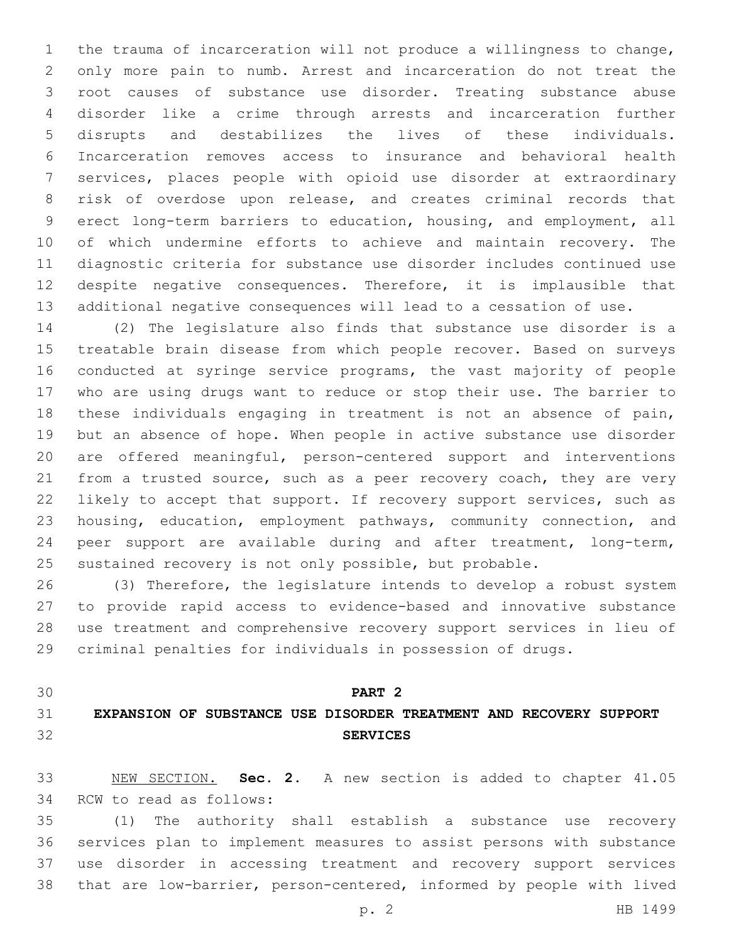the trauma of incarceration will not produce a willingness to change, only more pain to numb. Arrest and incarceration do not treat the root causes of substance use disorder. Treating substance abuse disorder like a crime through arrests and incarceration further disrupts and destabilizes the lives of these individuals. Incarceration removes access to insurance and behavioral health services, places people with opioid use disorder at extraordinary risk of overdose upon release, and creates criminal records that erect long-term barriers to education, housing, and employment, all of which undermine efforts to achieve and maintain recovery. The diagnostic criteria for substance use disorder includes continued use despite negative consequences. Therefore, it is implausible that additional negative consequences will lead to a cessation of use.

 (2) The legislature also finds that substance use disorder is a treatable brain disease from which people recover. Based on surveys conducted at syringe service programs, the vast majority of people who are using drugs want to reduce or stop their use. The barrier to these individuals engaging in treatment is not an absence of pain, but an absence of hope. When people in active substance use disorder are offered meaningful, person-centered support and interventions 21 from a trusted source, such as a peer recovery coach, they are very likely to accept that support. If recovery support services, such as housing, education, employment pathways, community connection, and peer support are available during and after treatment, long-term, sustained recovery is not only possible, but probable.

 (3) Therefore, the legislature intends to develop a robust system to provide rapid access to evidence-based and innovative substance use treatment and comprehensive recovery support services in lieu of criminal penalties for individuals in possession of drugs.

## **PART 2**

## **EXPANSION OF SUBSTANCE USE DISORDER TREATMENT AND RECOVERY SUPPORT SERVICES**

 NEW SECTION. **Sec. 2.** A new section is added to chapter 41.05 34 RCW to read as follows:

 (1) The authority shall establish a substance use recovery services plan to implement measures to assist persons with substance use disorder in accessing treatment and recovery support services that are low-barrier, person-centered, informed by people with lived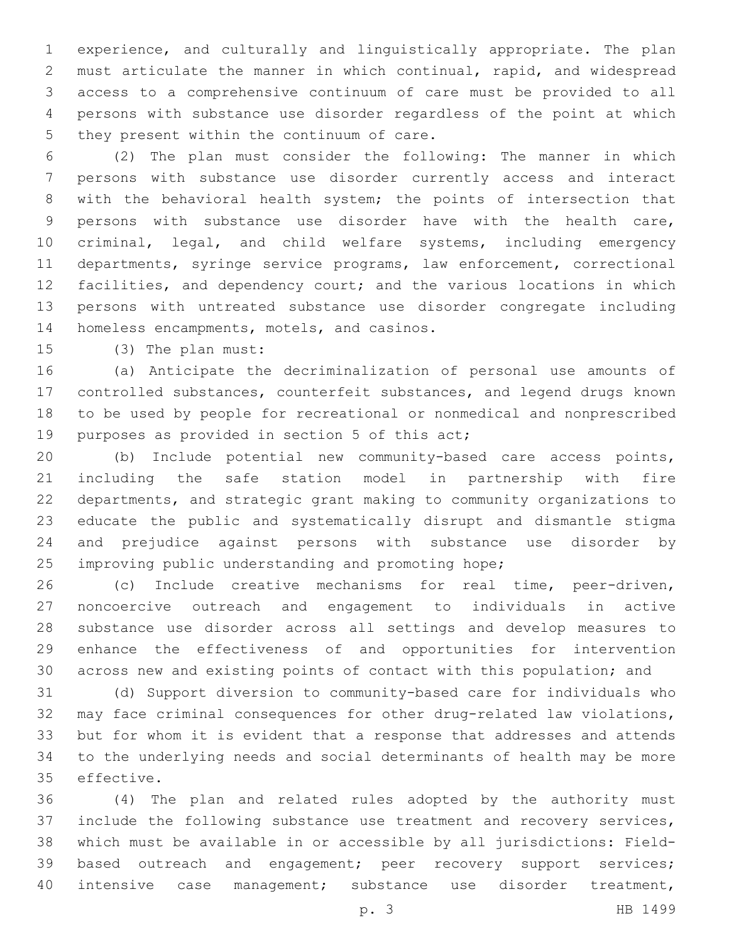experience, and culturally and linguistically appropriate. The plan must articulate the manner in which continual, rapid, and widespread access to a comprehensive continuum of care must be provided to all persons with substance use disorder regardless of the point at which 5 they present within the continuum of care.

 (2) The plan must consider the following: The manner in which persons with substance use disorder currently access and interact with the behavioral health system; the points of intersection that persons with substance use disorder have with the health care, criminal, legal, and child welfare systems, including emergency departments, syringe service programs, law enforcement, correctional facilities, and dependency court; and the various locations in which persons with untreated substance use disorder congregate including 14 homeless encampments, motels, and casinos.

15 (3) The plan must:

 (a) Anticipate the decriminalization of personal use amounts of controlled substances, counterfeit substances, and legend drugs known to be used by people for recreational or nonmedical and nonprescribed 19 purposes as provided in section 5 of this act;

 (b) Include potential new community-based care access points, including the safe station model in partnership with fire departments, and strategic grant making to community organizations to educate the public and systematically disrupt and dismantle stigma and prejudice against persons with substance use disorder by improving public understanding and promoting hope;

 (c) Include creative mechanisms for real time, peer-driven, noncoercive outreach and engagement to individuals in active substance use disorder across all settings and develop measures to enhance the effectiveness of and opportunities for intervention across new and existing points of contact with this population; and

 (d) Support diversion to community-based care for individuals who may face criminal consequences for other drug-related law violations, but for whom it is evident that a response that addresses and attends to the underlying needs and social determinants of health may be more 35 effective.

 (4) The plan and related rules adopted by the authority must include the following substance use treatment and recovery services, which must be available in or accessible by all jurisdictions: Field-39 based outreach and engagement; peer recovery support services; intensive case management; substance use disorder treatment,

p. 3 HB 1499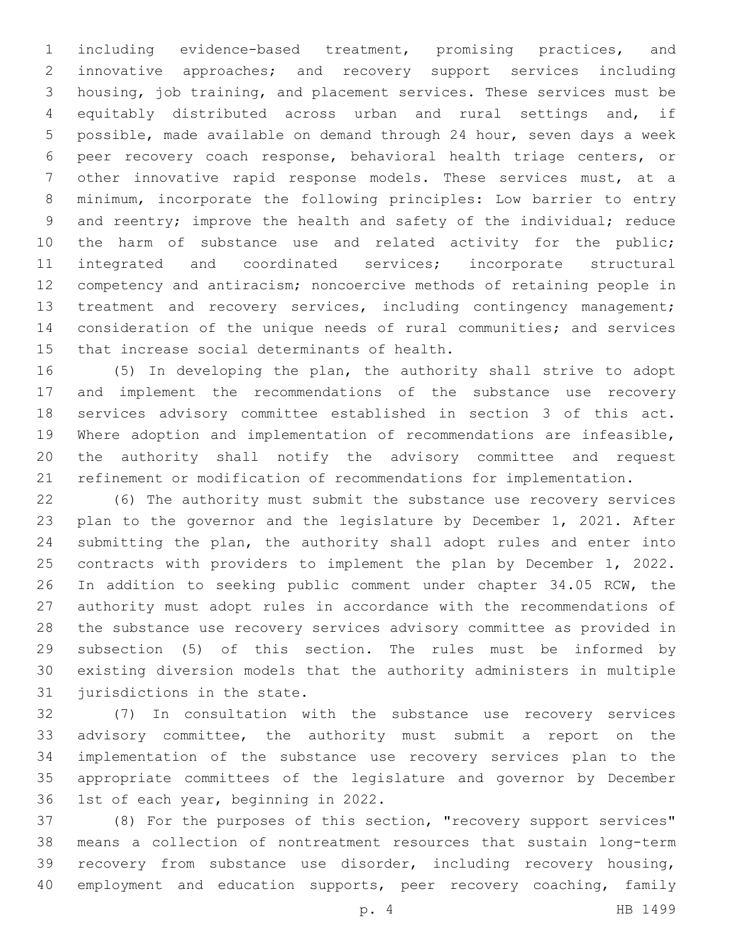including evidence-based treatment, promising practices, and innovative approaches; and recovery support services including housing, job training, and placement services. These services must be equitably distributed across urban and rural settings and, if possible, made available on demand through 24 hour, seven days a week peer recovery coach response, behavioral health triage centers, or other innovative rapid response models. These services must, at a minimum, incorporate the following principles: Low barrier to entry 9 and reentry; improve the health and safety of the individual; reduce 10 the harm of substance use and related activity for the public; integrated and coordinated services; incorporate structural competency and antiracism; noncoercive methods of retaining people in 13 treatment and recovery services, including contingency management; consideration of the unique needs of rural communities; and services 15 that increase social determinants of health.

 (5) In developing the plan, the authority shall strive to adopt and implement the recommendations of the substance use recovery services advisory committee established in section 3 of this act. Where adoption and implementation of recommendations are infeasible, the authority shall notify the advisory committee and request refinement or modification of recommendations for implementation.

 (6) The authority must submit the substance use recovery services plan to the governor and the legislature by December 1, 2021. After submitting the plan, the authority shall adopt rules and enter into contracts with providers to implement the plan by December 1, 2022. In addition to seeking public comment under chapter 34.05 RCW, the authority must adopt rules in accordance with the recommendations of the substance use recovery services advisory committee as provided in subsection (5) of this section. The rules must be informed by existing diversion models that the authority administers in multiple 31 jurisdictions in the state.

 (7) In consultation with the substance use recovery services advisory committee, the authority must submit a report on the implementation of the substance use recovery services plan to the appropriate committees of the legislature and governor by December 36 1st of each year, beginning in 2022.

 (8) For the purposes of this section, "recovery support services" means a collection of nontreatment resources that sustain long-term recovery from substance use disorder, including recovery housing, 40 employment and education supports, peer recovery coaching, family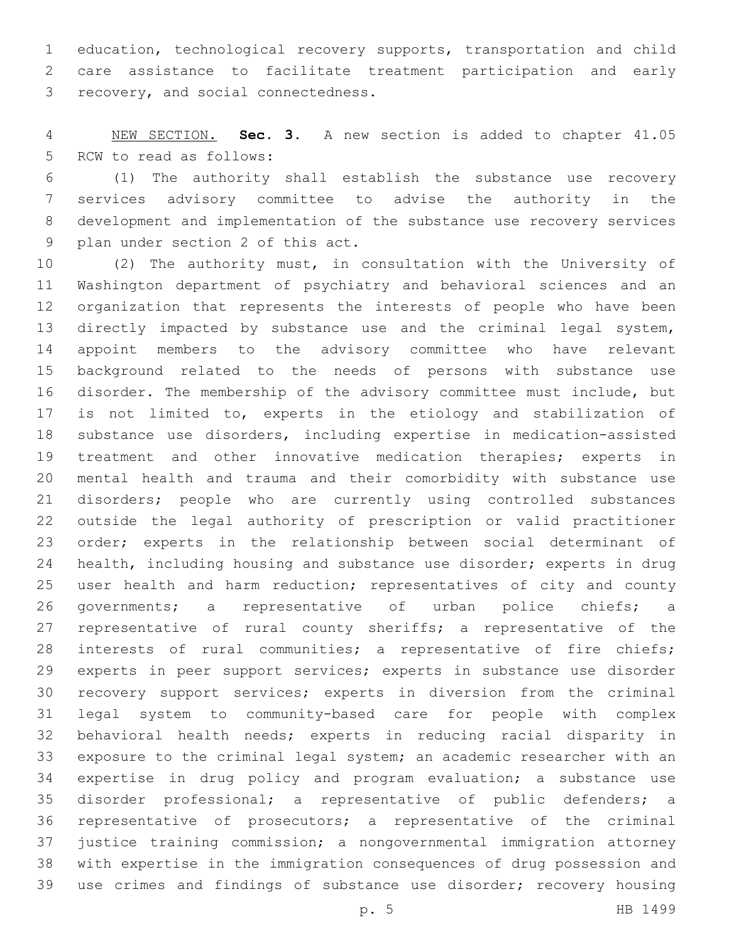education, technological recovery supports, transportation and child care assistance to facilitate treatment participation and early 3 recovery, and social connectedness.

 NEW SECTION. **Sec. 3.** A new section is added to chapter 41.05 5 RCW to read as follows:

 (1) The authority shall establish the substance use recovery services advisory committee to advise the authority in the development and implementation of the substance use recovery services 9 plan under section 2 of this act.

 (2) The authority must, in consultation with the University of Washington department of psychiatry and behavioral sciences and an organization that represents the interests of people who have been directly impacted by substance use and the criminal legal system, appoint members to the advisory committee who have relevant background related to the needs of persons with substance use disorder. The membership of the advisory committee must include, but 17 is not limited to, experts in the etiology and stabilization of substance use disorders, including expertise in medication-assisted treatment and other innovative medication therapies; experts in mental health and trauma and their comorbidity with substance use disorders; people who are currently using controlled substances outside the legal authority of prescription or valid practitioner order; experts in the relationship between social determinant of health, including housing and substance use disorder; experts in drug 25 user health and harm reduction; representatives of city and county governments; a representative of urban police chiefs; a 27 representative of rural county sheriffs; a representative of the interests of rural communities; a representative of fire chiefs; experts in peer support services; experts in substance use disorder recovery support services; experts in diversion from the criminal legal system to community-based care for people with complex behavioral health needs; experts in reducing racial disparity in exposure to the criminal legal system; an academic researcher with an expertise in drug policy and program evaluation; a substance use disorder professional; a representative of public defenders; a representative of prosecutors; a representative of the criminal justice training commission; a nongovernmental immigration attorney with expertise in the immigration consequences of drug possession and use crimes and findings of substance use disorder; recovery housing

p. 5 HB 1499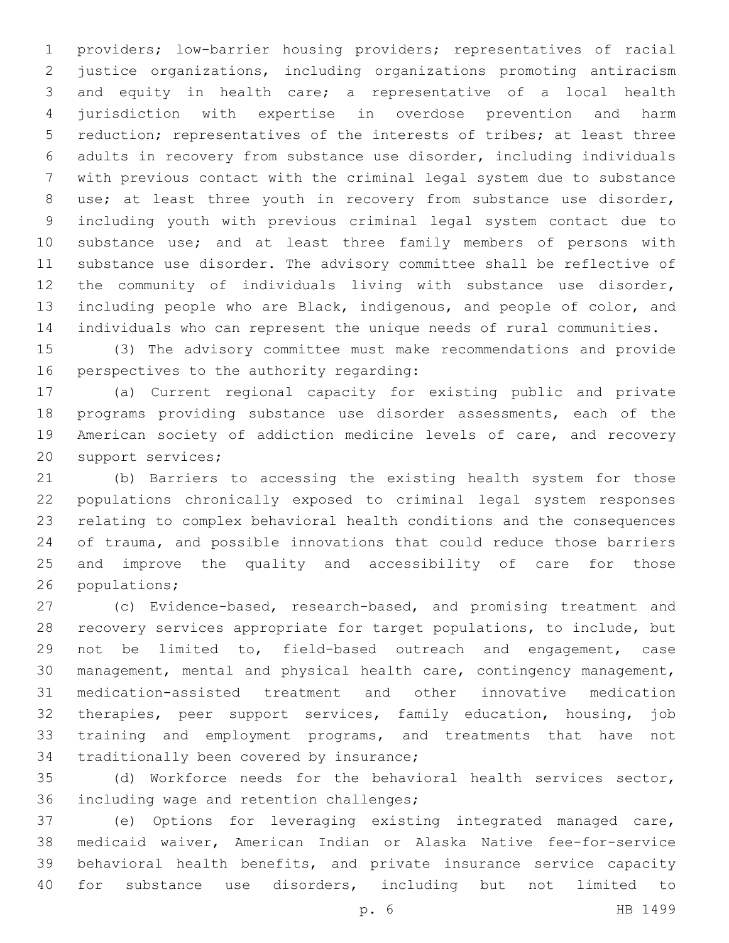providers; low-barrier housing providers; representatives of racial justice organizations, including organizations promoting antiracism and equity in health care; a representative of a local health jurisdiction with expertise in overdose prevention and harm reduction; representatives of the interests of tribes; at least three adults in recovery from substance use disorder, including individuals with previous contact with the criminal legal system due to substance use; at least three youth in recovery from substance use disorder, including youth with previous criminal legal system contact due to 10 substance use; and at least three family members of persons with substance use disorder. The advisory committee shall be reflective of the community of individuals living with substance use disorder, including people who are Black, indigenous, and people of color, and individuals who can represent the unique needs of rural communities.

 (3) The advisory committee must make recommendations and provide 16 perspectives to the authority regarding:

 (a) Current regional capacity for existing public and private programs providing substance use disorder assessments, each of the American society of addiction medicine levels of care, and recovery 20 support services;

 (b) Barriers to accessing the existing health system for those populations chronically exposed to criminal legal system responses relating to complex behavioral health conditions and the consequences of trauma, and possible innovations that could reduce those barriers and improve the quality and accessibility of care for those 26 populations;

 (c) Evidence-based, research-based, and promising treatment and recovery services appropriate for target populations, to include, but not be limited to, field-based outreach and engagement, case management, mental and physical health care, contingency management, medication-assisted treatment and other innovative medication therapies, peer support services, family education, housing, job training and employment programs, and treatments that have not 34 traditionally been covered by insurance;

 (d) Workforce needs for the behavioral health services sector, 36 including wage and retention challenges;

 (e) Options for leveraging existing integrated managed care, medicaid waiver, American Indian or Alaska Native fee-for-service behavioral health benefits, and private insurance service capacity for substance use disorders, including but not limited to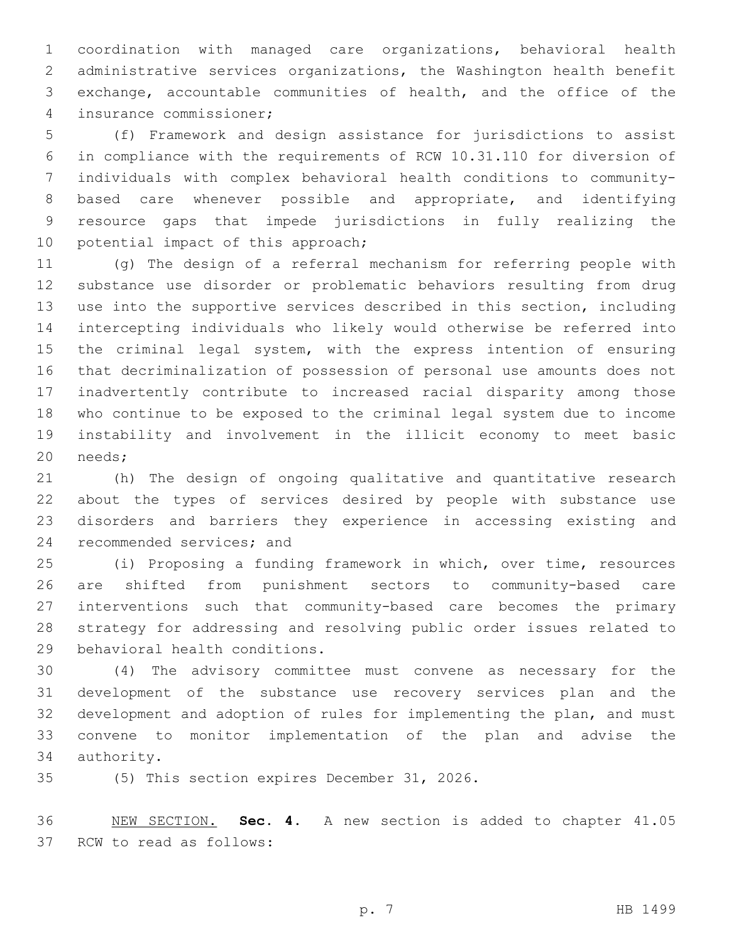coordination with managed care organizations, behavioral health administrative services organizations, the Washington health benefit exchange, accountable communities of health, and the office of the insurance commissioner;4

 (f) Framework and design assistance for jurisdictions to assist in compliance with the requirements of RCW 10.31.110 for diversion of individuals with complex behavioral health conditions to community- based care whenever possible and appropriate, and identifying resource gaps that impede jurisdictions in fully realizing the 10 potential impact of this approach;

 (g) The design of a referral mechanism for referring people with substance use disorder or problematic behaviors resulting from drug use into the supportive services described in this section, including intercepting individuals who likely would otherwise be referred into 15 the criminal legal system, with the express intention of ensuring that decriminalization of possession of personal use amounts does not inadvertently contribute to increased racial disparity among those who continue to be exposed to the criminal legal system due to income instability and involvement in the illicit economy to meet basic 20 needs;

 (h) The design of ongoing qualitative and quantitative research about the types of services desired by people with substance use disorders and barriers they experience in accessing existing and 24 recommended services; and

 (i) Proposing a funding framework in which, over time, resources are shifted from punishment sectors to community-based care interventions such that community-based care becomes the primary strategy for addressing and resolving public order issues related to 29 behavioral health conditions.

 (4) The advisory committee must convene as necessary for the development of the substance use recovery services plan and the development and adoption of rules for implementing the plan, and must convene to monitor implementation of the plan and advise the 34 authority.

35 (5) This section expires December 31, 2026.

 NEW SECTION. **Sec. 4.** A new section is added to chapter 41.05 37 RCW to read as follows: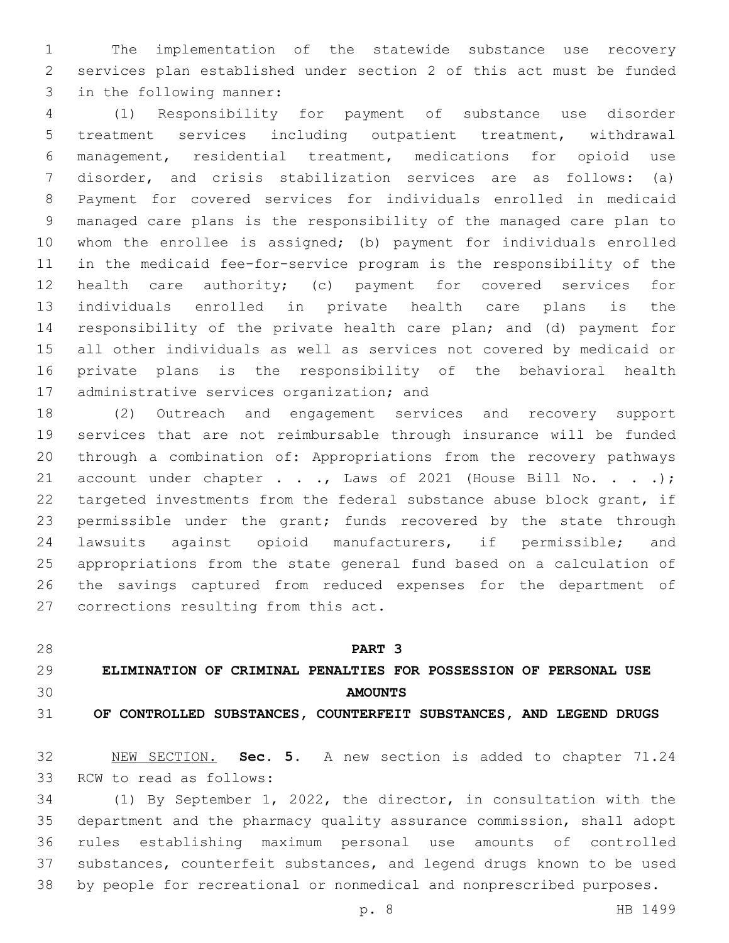The implementation of the statewide substance use recovery services plan established under section 2 of this act must be funded 3 in the following manner:

 (1) Responsibility for payment of substance use disorder treatment services including outpatient treatment, withdrawal management, residential treatment, medications for opioid use disorder, and crisis stabilization services are as follows: (a) Payment for covered services for individuals enrolled in medicaid managed care plans is the responsibility of the managed care plan to whom the enrollee is assigned; (b) payment for individuals enrolled in the medicaid fee-for-service program is the responsibility of the health care authority; (c) payment for covered services for individuals enrolled in private health care plans is the responsibility of the private health care plan; and (d) payment for all other individuals as well as services not covered by medicaid or private plans is the responsibility of the behavioral health 17 administrative services organization; and

 (2) Outreach and engagement services and recovery support services that are not reimbursable through insurance will be funded through a combination of: Appropriations from the recovery pathways 21 account under chapter . . ., Laws of 2021 (House Bill No. . . .); targeted investments from the federal substance abuse block grant, if 23 permissible under the grant; funds recovered by the state through lawsuits against opioid manufacturers, if permissible; and appropriations from the state general fund based on a calculation of the savings captured from reduced expenses for the department of 27 corrections resulting from this act.

**PART 3**

# **ELIMINATION OF CRIMINAL PENALTIES FOR POSSESSION OF PERSONAL USE AMOUNTS**

**OF CONTROLLED SUBSTANCES, COUNTERFEIT SUBSTANCES, AND LEGEND DRUGS**

 NEW SECTION. **Sec. 5.** A new section is added to chapter 71.24 33 RCW to read as follows:

 (1) By September 1, 2022, the director, in consultation with the department and the pharmacy quality assurance commission, shall adopt rules establishing maximum personal use amounts of controlled substances, counterfeit substances, and legend drugs known to be used by people for recreational or nonmedical and nonprescribed purposes.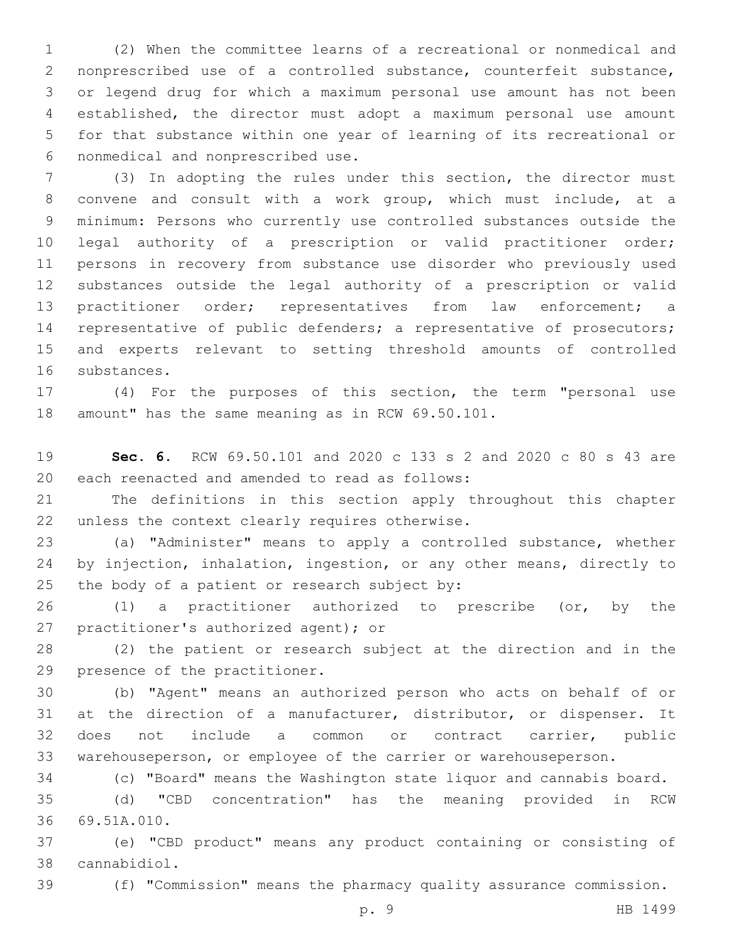(2) When the committee learns of a recreational or nonmedical and nonprescribed use of a controlled substance, counterfeit substance, or legend drug for which a maximum personal use amount has not been established, the director must adopt a maximum personal use amount for that substance within one year of learning of its recreational or nonmedical and nonprescribed use.6

 (3) In adopting the rules under this section, the director must convene and consult with a work group, which must include, at a minimum: Persons who currently use controlled substances outside the legal authority of a prescription or valid practitioner order; persons in recovery from substance use disorder who previously used substances outside the legal authority of a prescription or valid practitioner order; representatives from law enforcement; a representative of public defenders; a representative of prosecutors; and experts relevant to setting threshold amounts of controlled 16 substances.

 (4) For the purposes of this section, the term "personal use 18 amount" has the same meaning as in RCW  $69.50.101$ .

 **Sec. 6.** RCW 69.50.101 and 2020 c 133 s 2 and 2020 c 80 s 43 are 20 each reenacted and amended to read as follows:

 The definitions in this section apply throughout this chapter 22 unless the context clearly requires otherwise.

 (a) "Administer" means to apply a controlled substance, whether by injection, inhalation, ingestion, or any other means, directly to 25 the body of a patient or research subject by:

 (1) a practitioner authorized to prescribe (or, by the 27 practitioner's authorized agent); or

 (2) the patient or research subject at the direction and in the 29 presence of the practitioner.

 (b) "Agent" means an authorized person who acts on behalf of or at the direction of a manufacturer, distributor, or dispenser. It does not include a common or contract carrier, public warehouseperson, or employee of the carrier or warehouseperson.

(c) "Board" means the Washington state liquor and cannabis board.

 (d) "CBD concentration" has the meaning provided in RCW 69.51A.010.36

 (e) "CBD product" means any product containing or consisting of cannabidiol.38

(f) "Commission" means the pharmacy quality assurance commission.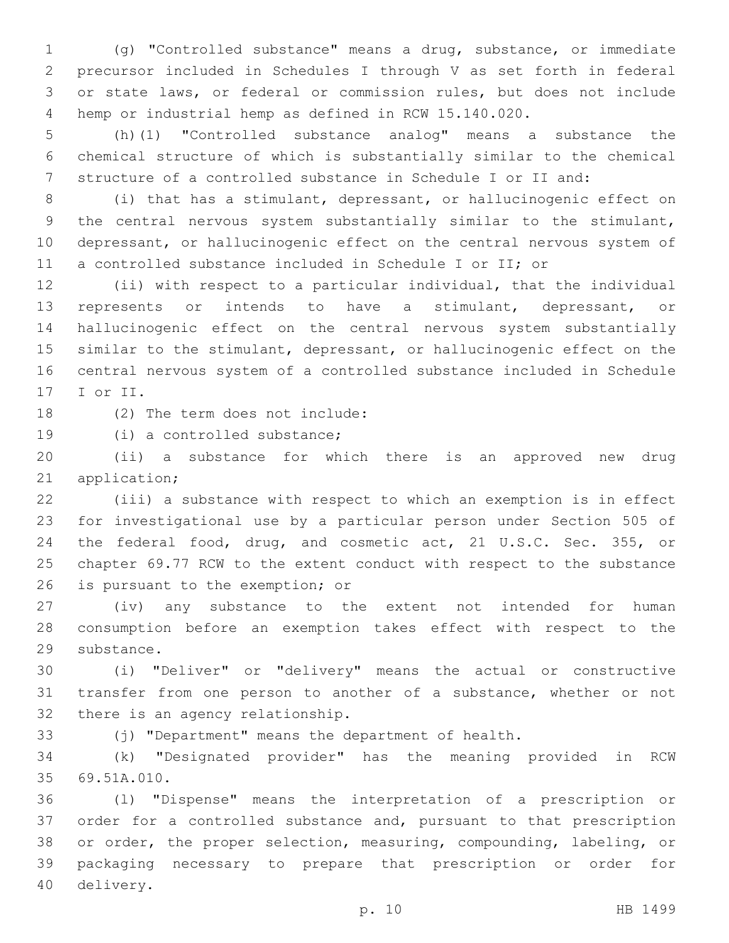(g) "Controlled substance" means a drug, substance, or immediate precursor included in Schedules I through V as set forth in federal or state laws, or federal or commission rules, but does not include hemp or industrial hemp as defined in RCW 15.140.020.

 (h)(1) "Controlled substance analog" means a substance the chemical structure of which is substantially similar to the chemical structure of a controlled substance in Schedule I or II and:

 (i) that has a stimulant, depressant, or hallucinogenic effect on the central nervous system substantially similar to the stimulant, depressant, or hallucinogenic effect on the central nervous system of a controlled substance included in Schedule I or II; or

 (ii) with respect to a particular individual, that the individual represents or intends to have a stimulant, depressant, or hallucinogenic effect on the central nervous system substantially similar to the stimulant, depressant, or hallucinogenic effect on the central nervous system of a controlled substance included in Schedule 17 I or II.

18 (2) The term does not include:

19 (i) a controlled substance;

 (ii) a substance for which there is an approved new drug 21 application;

 (iii) a substance with respect to which an exemption is in effect for investigational use by a particular person under Section 505 of the federal food, drug, and cosmetic act, 21 U.S.C. Sec. 355, or chapter 69.77 RCW to the extent conduct with respect to the substance 26 is pursuant to the exemption; or

 (iv) any substance to the extent not intended for human consumption before an exemption takes effect with respect to the 29 substance.

 (i) "Deliver" or "delivery" means the actual or constructive transfer from one person to another of a substance, whether or not 32 there is an agency relationship.

(j) "Department" means the department of health.

 (k) "Designated provider" has the meaning provided in RCW 69.51A.010.35

 (l) "Dispense" means the interpretation of a prescription or order for a controlled substance and, pursuant to that prescription or order, the proper selection, measuring, compounding, labeling, or packaging necessary to prepare that prescription or order for 40 delivery.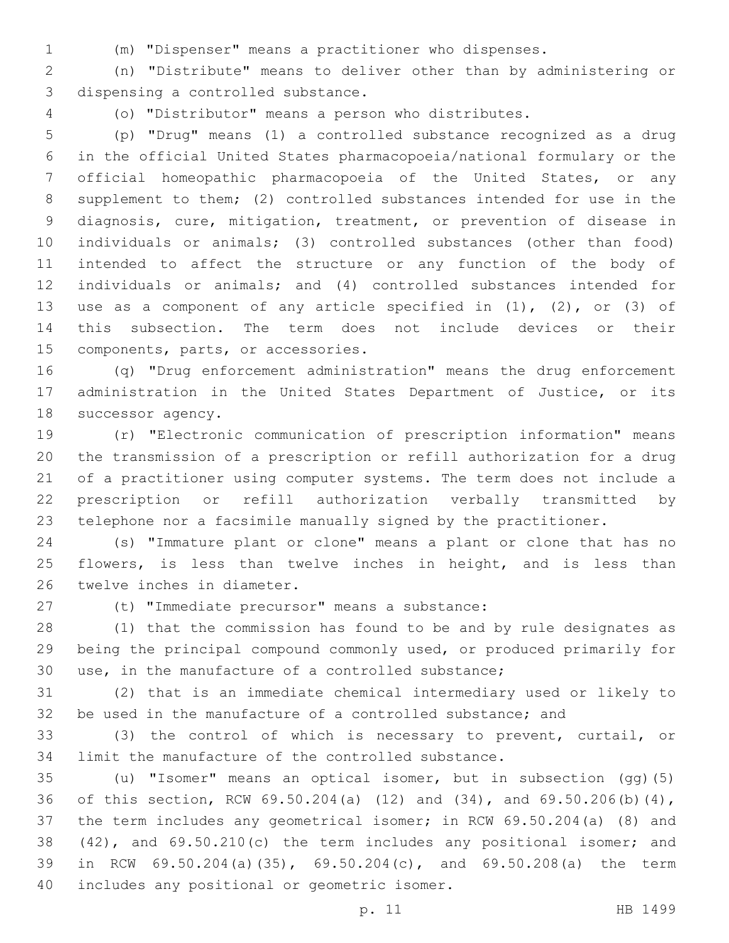(m) "Dispenser" means a practitioner who dispenses.

 (n) "Distribute" means to deliver other than by administering or 3 dispensing a controlled substance.

(o) "Distributor" means a person who distributes.

 (p) "Drug" means (1) a controlled substance recognized as a drug in the official United States pharmacopoeia/national formulary or the official homeopathic pharmacopoeia of the United States, or any supplement to them; (2) controlled substances intended for use in the diagnosis, cure, mitigation, treatment, or prevention of disease in individuals or animals; (3) controlled substances (other than food) intended to affect the structure or any function of the body of individuals or animals; and (4) controlled substances intended for use as a component of any article specified in (1), (2), or (3) of this subsection. The term does not include devices or their 15 components, parts, or accessories.

 (q) "Drug enforcement administration" means the drug enforcement administration in the United States Department of Justice, or its 18 successor agency.

 (r) "Electronic communication of prescription information" means the transmission of a prescription or refill authorization for a drug of a practitioner using computer systems. The term does not include a prescription or refill authorization verbally transmitted by telephone nor a facsimile manually signed by the practitioner.

 (s) "Immature plant or clone" means a plant or clone that has no 25 flowers, is less than twelve inches in height, and is less than 26 twelve inches in diameter.

27 (t) "Immediate precursor" means a substance:

 (1) that the commission has found to be and by rule designates as being the principal compound commonly used, or produced primarily for use, in the manufacture of a controlled substance;

 (2) that is an immediate chemical intermediary used or likely to be used in the manufacture of a controlled substance; and

 (3) the control of which is necessary to prevent, curtail, or limit the manufacture of the controlled substance.

 (u) "Isomer" means an optical isomer, but in subsection (gg)(5) of this section, RCW 69.50.204(a) (12) and (34), and 69.50.206(b)(4), the term includes any geometrical isomer; in RCW 69.50.204(a) (8) and (42), and 69.50.210(c) the term includes any positional isomer; and in RCW 69.50.204(a)(35), 69.50.204(c), and 69.50.208(a) the term 40 includes any positional or geometric isomer.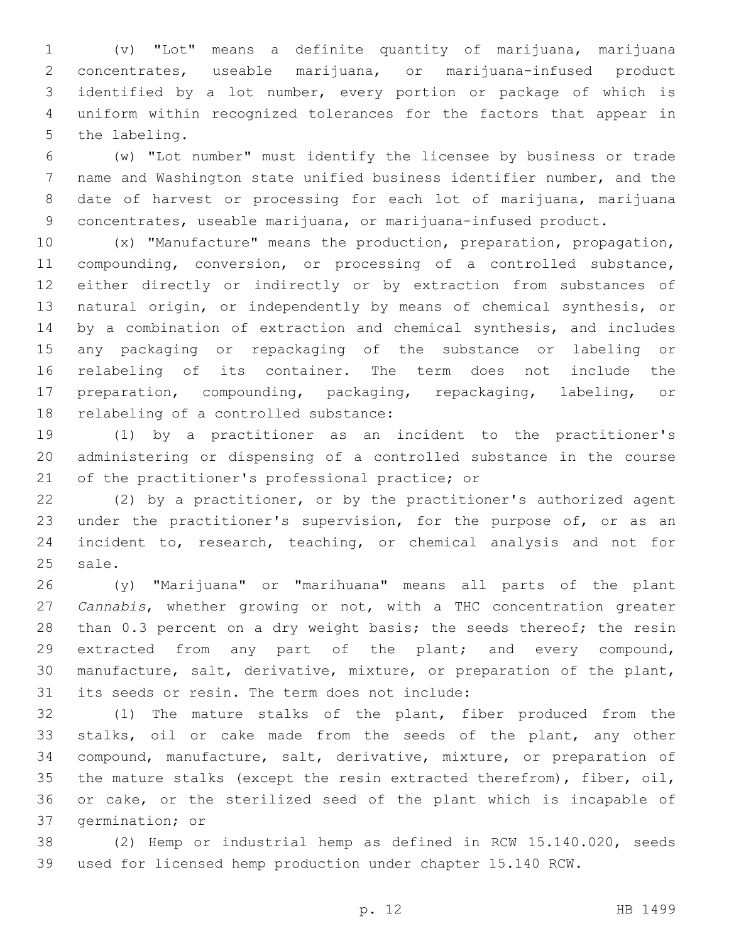(v) "Lot" means a definite quantity of marijuana, marijuana concentrates, useable marijuana, or marijuana-infused product identified by a lot number, every portion or package of which is uniform within recognized tolerances for the factors that appear in 5 the labeling.

 (w) "Lot number" must identify the licensee by business or trade name and Washington state unified business identifier number, and the date of harvest or processing for each lot of marijuana, marijuana concentrates, useable marijuana, or marijuana-infused product.

 (x) "Manufacture" means the production, preparation, propagation, compounding, conversion, or processing of a controlled substance, either directly or indirectly or by extraction from substances of natural origin, or independently by means of chemical synthesis, or by a combination of extraction and chemical synthesis, and includes any packaging or repackaging of the substance or labeling or relabeling of its container. The term does not include the preparation, compounding, packaging, repackaging, labeling, or 18 relabeling of a controlled substance:

 (1) by a practitioner as an incident to the practitioner's administering or dispensing of a controlled substance in the course 21 of the practitioner's professional practice; or

 (2) by a practitioner, or by the practitioner's authorized agent 23 under the practitioner's supervision, for the purpose of, or as an incident to, research, teaching, or chemical analysis and not for 25 sale.

 (y) "Marijuana" or "marihuana" means all parts of the plant *Cannabis*, whether growing or not, with a THC concentration greater 28 than 0.3 percent on a dry weight basis; the seeds thereof; the resin extracted from any part of the plant; and every compound, manufacture, salt, derivative, mixture, or preparation of the plant, 31 its seeds or resin. The term does not include:

 (1) The mature stalks of the plant, fiber produced from the stalks, oil or cake made from the seeds of the plant, any other compound, manufacture, salt, derivative, mixture, or preparation of the mature stalks (except the resin extracted therefrom), fiber, oil, or cake, or the sterilized seed of the plant which is incapable of 37 germination; or

 (2) Hemp or industrial hemp as defined in RCW 15.140.020, seeds used for licensed hemp production under chapter 15.140 RCW.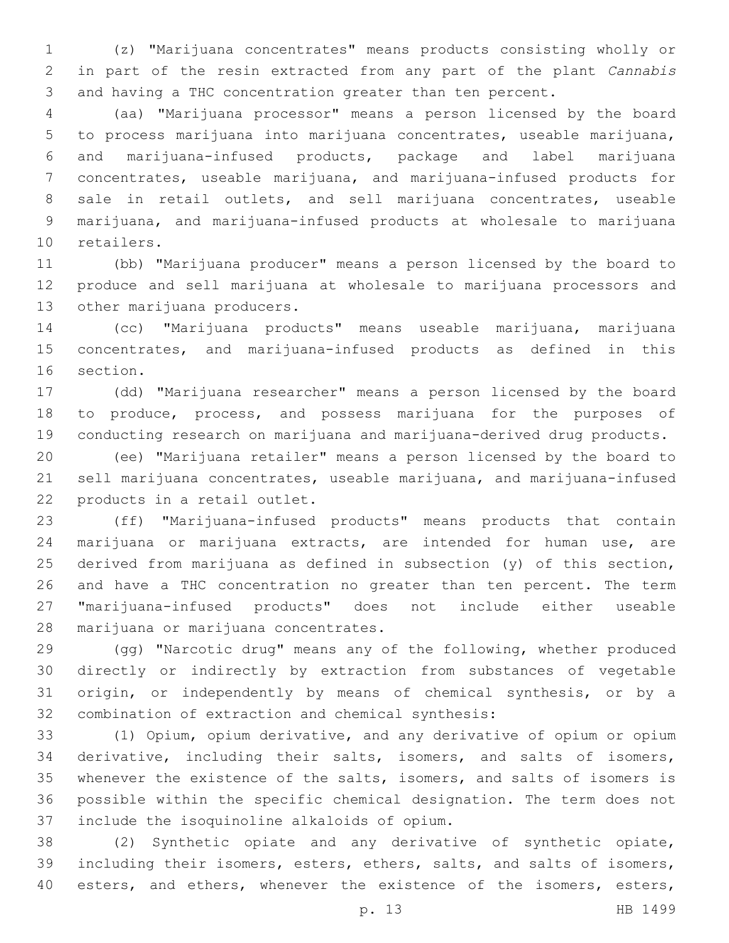(z) "Marijuana concentrates" means products consisting wholly or in part of the resin extracted from any part of the plant *Cannabis*  and having a THC concentration greater than ten percent.

 (aa) "Marijuana processor" means a person licensed by the board to process marijuana into marijuana concentrates, useable marijuana, and marijuana-infused products, package and label marijuana concentrates, useable marijuana, and marijuana-infused products for sale in retail outlets, and sell marijuana concentrates, useable marijuana, and marijuana-infused products at wholesale to marijuana 10 retailers.

 (bb) "Marijuana producer" means a person licensed by the board to produce and sell marijuana at wholesale to marijuana processors and 13 other marijuana producers.

 (cc) "Marijuana products" means useable marijuana, marijuana concentrates, and marijuana-infused products as defined in this 16 section.

 (dd) "Marijuana researcher" means a person licensed by the board to produce, process, and possess marijuana for the purposes of conducting research on marijuana and marijuana-derived drug products.

 (ee) "Marijuana retailer" means a person licensed by the board to sell marijuana concentrates, useable marijuana, and marijuana-infused 22 products in a retail outlet.

 (ff) "Marijuana-infused products" means products that contain marijuana or marijuana extracts, are intended for human use, are derived from marijuana as defined in subsection (y) of this section, and have a THC concentration no greater than ten percent. The term "marijuana-infused products" does not include either useable 28 marijuana or marijuana concentrates.

 (gg) "Narcotic drug" means any of the following, whether produced directly or indirectly by extraction from substances of vegetable origin, or independently by means of chemical synthesis, or by a 32 combination of extraction and chemical synthesis:

 (1) Opium, opium derivative, and any derivative of opium or opium derivative, including their salts, isomers, and salts of isomers, whenever the existence of the salts, isomers, and salts of isomers is possible within the specific chemical designation. The term does not 37 include the isoquinoline alkaloids of opium.

 (2) Synthetic opiate and any derivative of synthetic opiate, including their isomers, esters, ethers, salts, and salts of isomers, 40 esters, and ethers, whenever the existence of the isomers, esters,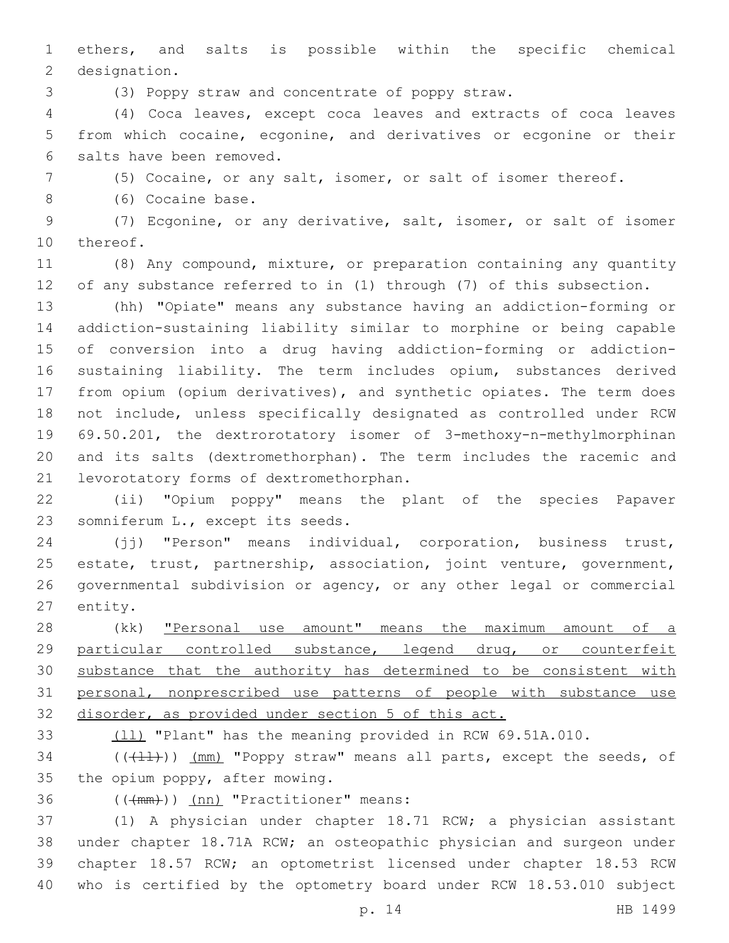ethers, and salts is possible within the specific chemical 2 designation.

(3) Poppy straw and concentrate of poppy straw.

 (4) Coca leaves, except coca leaves and extracts of coca leaves from which cocaine, ecgonine, and derivatives or ecgonine or their 6 salts have been removed.

(5) Cocaine, or any salt, isomer, or salt of isomer thereof.

8 (6) Cocaine base.

 (7) Ecgonine, or any derivative, salt, isomer, or salt of isomer 10 thereof.

 (8) Any compound, mixture, or preparation containing any quantity of any substance referred to in (1) through (7) of this subsection.

 (hh) "Opiate" means any substance having an addiction-forming or addiction-sustaining liability similar to morphine or being capable of conversion into a drug having addiction-forming or addiction- sustaining liability. The term includes opium, substances derived from opium (opium derivatives), and synthetic opiates. The term does not include, unless specifically designated as controlled under RCW 69.50.201, the dextrorotatory isomer of 3-methoxy-n-methylmorphinan and its salts (dextromethorphan). The term includes the racemic and 21 levorotatory forms of dextromethorphan.

 (ii) "Opium poppy" means the plant of the species Papaver 23 somniferum L., except its seeds.

 (jj) "Person" means individual, corporation, business trust, estate, trust, partnership, association, joint venture, government, governmental subdivision or agency, or any other legal or commercial 27 entity.

28 (kk) **"Personal use amount" means the maximum amount of a** 29 particular controlled substance, legend drug, or counterfeit 30 substance that the authority has determined to be consistent with personal, nonprescribed use patterns of people with substance use disorder, as provided under section 5 of this act.

(ll) "Plant" has the meaning provided in RCW 69.51A.010.

 $($  ( $($  $($  $\{$  $\}$  $)$ )  $($  $mm)$  "Poppy straw" means all parts, except the seeds, of the opium poppy, after mowing.

36 (((mm))) (nn) "Practitioner" means:

 (1) A physician under chapter 18.71 RCW; a physician assistant under chapter 18.71A RCW; an osteopathic physician and surgeon under chapter 18.57 RCW; an optometrist licensed under chapter 18.53 RCW who is certified by the optometry board under RCW 18.53.010 subject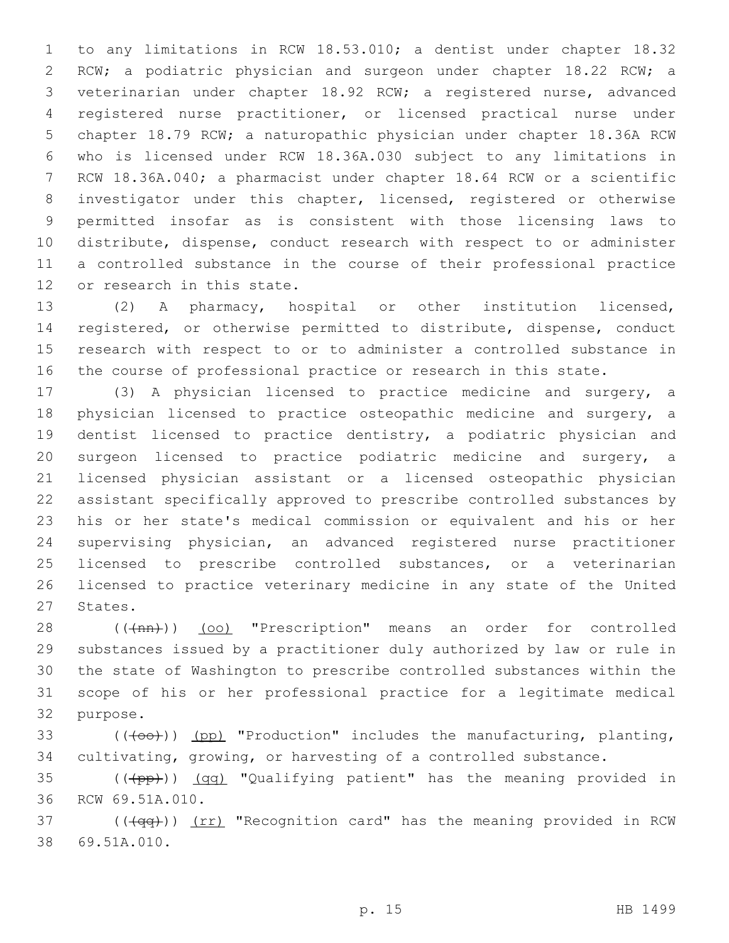to any limitations in RCW 18.53.010; a dentist under chapter 18.32 RCW; a podiatric physician and surgeon under chapter 18.22 RCW; a veterinarian under chapter 18.92 RCW; a registered nurse, advanced registered nurse practitioner, or licensed practical nurse under chapter 18.79 RCW; a naturopathic physician under chapter 18.36A RCW who is licensed under RCW 18.36A.030 subject to any limitations in RCW 18.36A.040; a pharmacist under chapter 18.64 RCW or a scientific investigator under this chapter, licensed, registered or otherwise permitted insofar as is consistent with those licensing laws to distribute, dispense, conduct research with respect to or administer a controlled substance in the course of their professional practice 12 or research in this state.

 (2) A pharmacy, hospital or other institution licensed, registered, or otherwise permitted to distribute, dispense, conduct research with respect to or to administer a controlled substance in the course of professional practice or research in this state.

 (3) A physician licensed to practice medicine and surgery, a physician licensed to practice osteopathic medicine and surgery, a dentist licensed to practice dentistry, a podiatric physician and surgeon licensed to practice podiatric medicine and surgery, a licensed physician assistant or a licensed osteopathic physician assistant specifically approved to prescribe controlled substances by his or her state's medical commission or equivalent and his or her supervising physician, an advanced registered nurse practitioner licensed to prescribe controlled substances, or a veterinarian licensed to practice veterinary medicine in any state of the United 27 States.

28 (( $(\text{tan})$ ) (oo) "Prescription" means an order for controlled substances issued by a practitioner duly authorized by law or rule in the state of Washington to prescribe controlled substances within the scope of his or her professional practice for a legitimate medical 32 purpose.

33  $((+60))$  (pp) "Production" includes the manufacturing, planting, cultivating, growing, or harvesting of a controlled substance.

35 (((pp))) (qq) "Qualifying patient" has the meaning provided in 36 RCW 69.51A.010.

 (( $\left(\frac{4}{99}\right)$ ) (rr) "Recognition card" has the meaning provided in RCW 69.51A.010.38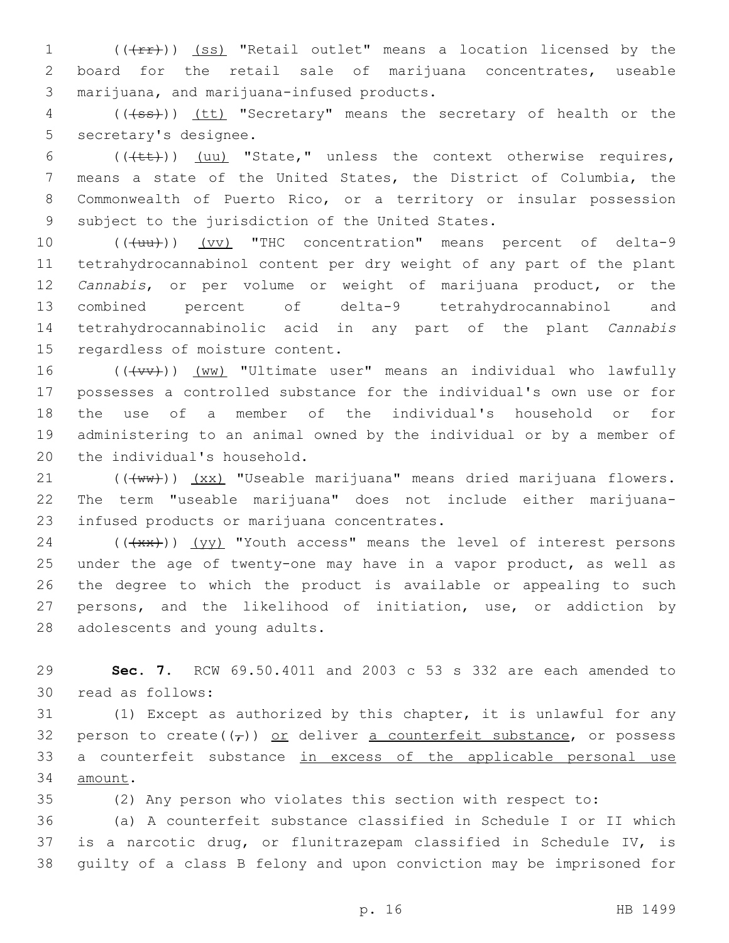1 (((fr)) (ss) "Retail outlet" means a location licensed by the 2 board for the retail sale of marijuana concentrates, useable 3 marijuana, and marijuana-infused products.

4 (((+ss)) (tt) "Secretary" means the secretary of health or the 5 secretary's designee.

 $((\text{+t+}))$  (uu) "State," unless the context otherwise requires, means a state of the United States, the District of Columbia, the Commonwealth of Puerto Rico, or a territory or insular possession 9 subject to the jurisdiction of the United States.

10 (((uu))) (vv) "THC concentration" means percent of delta-9 tetrahydrocannabinol content per dry weight of any part of the plant *Cannabis*, or per volume or weight of marijuana product, or the combined percent of delta-9 tetrahydrocannabinol and tetrahydrocannabinolic acid in any part of the plant *Cannabis*  15 regardless of moisture content.

16 (((VV))) (WW) "Ultimate user" means an individual who lawfully 17 possesses a controlled substance for the individual's own use or for 18 the use of a member of the individual's household or for 19 administering to an animal owned by the individual or by a member of 20 the individual's household.

21 (((ww))) (xx) "Useable marijuana" means dried marijuana flowers. 22 The term "useable marijuana" does not include either marijuana-23 infused products or marijuana concentrates.

 (( $\overline{+x^2}$ )) (yy) "Youth access" means the level of interest persons under the age of twenty-one may have in a vapor product, as well as the degree to which the product is available or appealing to such persons, and the likelihood of initiation, use, or addiction by 28 adolescents and young adults.

29 **Sec. 7.** RCW 69.50.4011 and 2003 c 53 s 332 are each amended to 30 read as follows:

31 (1) Except as authorized by this chapter, it is unlawful for any 32 person to create( $(\tau)$ ) or deliver a counterfeit substance, or possess 33 a counterfeit substance in excess of the applicable personal use 34 amount.

35 (2) Any person who violates this section with respect to:

36 (a) A counterfeit substance classified in Schedule I or II which 37 is a narcotic drug, or flunitrazepam classified in Schedule IV, is 38 guilty of a class B felony and upon conviction may be imprisoned for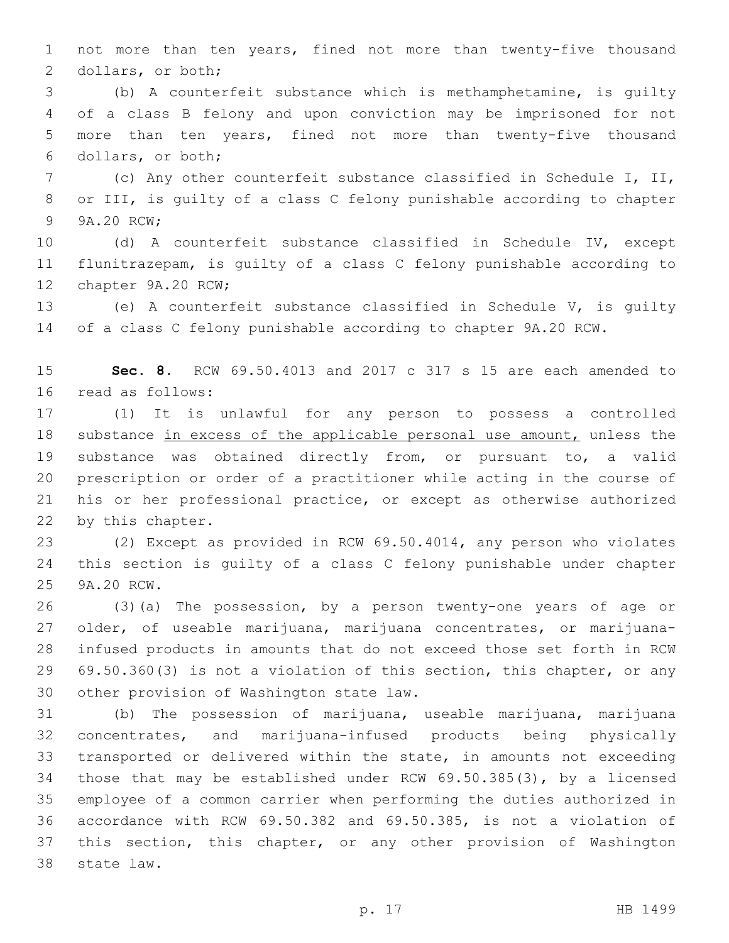not more than ten years, fined not more than twenty-five thousand 2 dollars, or both;

 (b) A counterfeit substance which is methamphetamine, is guilty of a class B felony and upon conviction may be imprisoned for not more than ten years, fined not more than twenty-five thousand 6 dollars, or both;

 (c) Any other counterfeit substance classified in Schedule I, II, or III, is guilty of a class C felony punishable according to chapter 9 9A.20 RCW:

 (d) A counterfeit substance classified in Schedule IV, except flunitrazepam, is guilty of a class C felony punishable according to 12 chapter 9A.20 RCW;

 (e) A counterfeit substance classified in Schedule V, is guilty of a class C felony punishable according to chapter 9A.20 RCW.

 **Sec. 8.** RCW 69.50.4013 and 2017 c 317 s 15 are each amended to 16 read as follows:

 (1) It is unlawful for any person to possess a controlled 18 substance in excess of the applicable personal use amount, unless the substance was obtained directly from, or pursuant to, a valid prescription or order of a practitioner while acting in the course of his or her professional practice, or except as otherwise authorized 22 by this chapter.

 (2) Except as provided in RCW 69.50.4014, any person who violates this section is guilty of a class C felony punishable under chapter 25 9A.20 RCW.

 (3)(a) The possession, by a person twenty-one years of age or older, of useable marijuana, marijuana concentrates, or marijuana- infused products in amounts that do not exceed those set forth in RCW 69.50.360(3) is not a violation of this section, this chapter, or any 30 other provision of Washington state law.

 (b) The possession of marijuana, useable marijuana, marijuana concentrates, and marijuana-infused products being physically transported or delivered within the state, in amounts not exceeding those that may be established under RCW 69.50.385(3), by a licensed employee of a common carrier when performing the duties authorized in accordance with RCW 69.50.382 and 69.50.385, is not a violation of this section, this chapter, or any other provision of Washington 38 state law.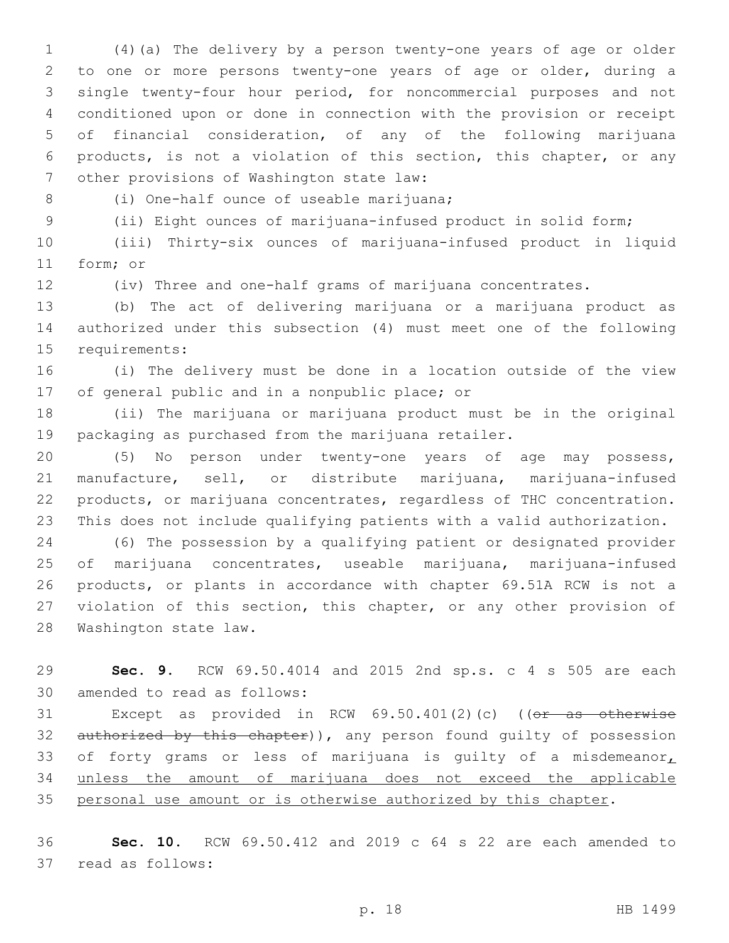(4)(a) The delivery by a person twenty-one years of age or older to one or more persons twenty-one years of age or older, during a single twenty-four hour period, for noncommercial purposes and not conditioned upon or done in connection with the provision or receipt of financial consideration, of any of the following marijuana products, is not a violation of this section, this chapter, or any 7 other provisions of Washington state law:

8 (i) One-half ounce of useable marijuana;

(ii) Eight ounces of marijuana-infused product in solid form;

 (iii) Thirty-six ounces of marijuana-infused product in liquid 11 form; or

(iv) Three and one-half grams of marijuana concentrates.

 (b) The act of delivering marijuana or a marijuana product as authorized under this subsection (4) must meet one of the following 15 requirements:

 (i) The delivery must be done in a location outside of the view 17 of general public and in a nonpublic place; or

 (ii) The marijuana or marijuana product must be in the original packaging as purchased from the marijuana retailer.

 (5) No person under twenty-one years of age may possess, manufacture, sell, or distribute marijuana, marijuana-infused products, or marijuana concentrates, regardless of THC concentration. This does not include qualifying patients with a valid authorization.

 (6) The possession by a qualifying patient or designated provider of marijuana concentrates, useable marijuana, marijuana-infused products, or plants in accordance with chapter 69.51A RCW is not a 27 violation of this section, this chapter, or any other provision of 28 Washington state law.

 **Sec. 9.** RCW 69.50.4014 and 2015 2nd sp.s. c 4 s 505 are each 30 amended to read as follows:

31 Except as provided in RCW 69.50.401(2)(c) ((or as otherwise 32 authorized by this chapter)), any person found guilty of possession 33 of forty grams or less of marijuana is guilty of a misdemeanor, unless the amount of marijuana does not exceed the applicable personal use amount or is otherwise authorized by this chapter.

 **Sec. 10.** RCW 69.50.412 and 2019 c 64 s 22 are each amended to 37 read as follows: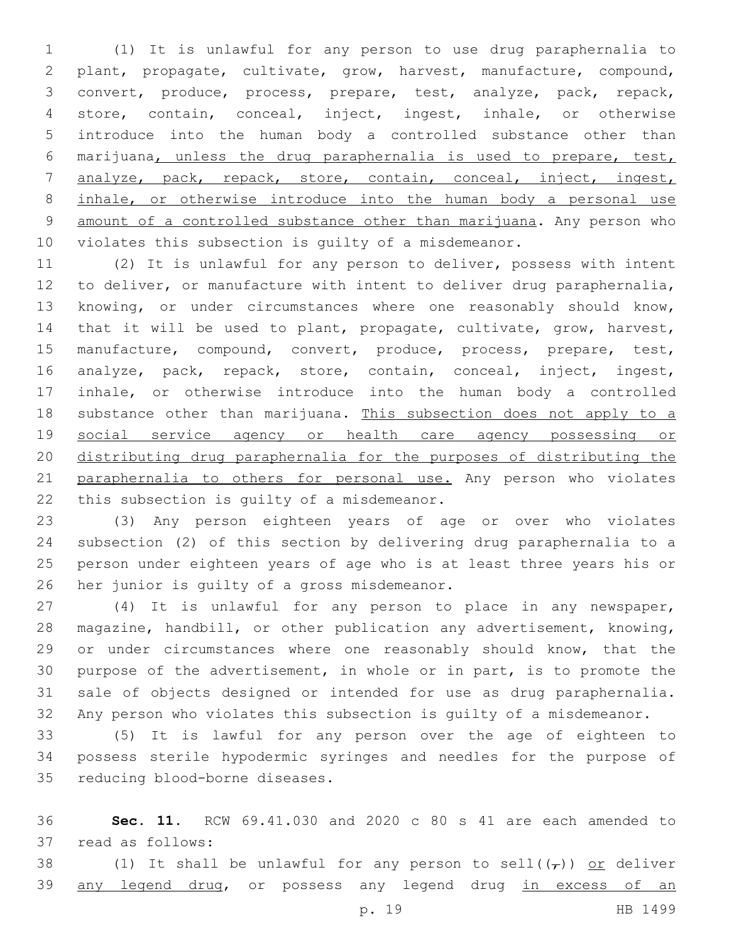(1) It is unlawful for any person to use drug paraphernalia to plant, propagate, cultivate, grow, harvest, manufacture, compound, convert, produce, process, prepare, test, analyze, pack, repack, store, contain, conceal, inject, ingest, inhale, or otherwise introduce into the human body a controlled substance other than marijuana, unless the drug paraphernalia is used to prepare, test, analyze, pack, repack, store, contain, conceal, inject, ingest, inhale, or otherwise introduce into the human body a personal use amount of a controlled substance other than marijuana. Any person who violates this subsection is guilty of a misdemeanor.

 (2) It is unlawful for any person to deliver, possess with intent to deliver, or manufacture with intent to deliver drug paraphernalia, knowing, or under circumstances where one reasonably should know, that it will be used to plant, propagate, cultivate, grow, harvest, manufacture, compound, convert, produce, process, prepare, test, analyze, pack, repack, store, contain, conceal, inject, ingest, inhale, or otherwise introduce into the human body a controlled 18 substance other than marijuana. This subsection does not apply to a social service agency or health care agency possessing or distributing drug paraphernalia for the purposes of distributing the 21 paraphernalia to others for personal use. Any person who violates 22 this subsection is quilty of a misdemeanor.

 (3) Any person eighteen years of age or over who violates subsection (2) of this section by delivering drug paraphernalia to a person under eighteen years of age who is at least three years his or 26 her junior is guilty of a gross misdemeanor.

 (4) It is unlawful for any person to place in any newspaper, magazine, handbill, or other publication any advertisement, knowing, 29 or under circumstances where one reasonably should know, that the purpose of the advertisement, in whole or in part, is to promote the sale of objects designed or intended for use as drug paraphernalia. Any person who violates this subsection is guilty of a misdemeanor.

 (5) It is lawful for any person over the age of eighteen to possess sterile hypodermic syringes and needles for the purpose of 35 reducing blood-borne diseases.

 **Sec. 11.** RCW 69.41.030 and 2020 c 80 s 41 are each amended to 37 read as follows:

38 (1) It shall be unlawful for any person to sell( $(\tau)$ ) or deliver 39 any legend drug, or possess any legend drug in excess of an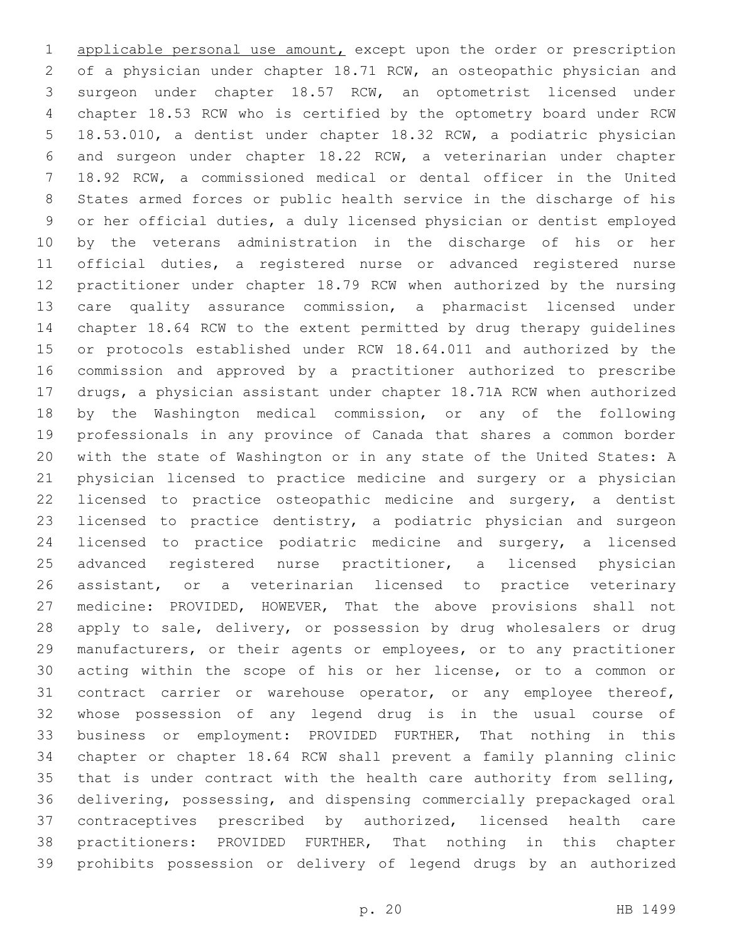applicable personal use amount, except upon the order or prescription of a physician under chapter 18.71 RCW, an osteopathic physician and surgeon under chapter 18.57 RCW, an optometrist licensed under chapter 18.53 RCW who is certified by the optometry board under RCW 18.53.010, a dentist under chapter 18.32 RCW, a podiatric physician and surgeon under chapter 18.22 RCW, a veterinarian under chapter 18.92 RCW, a commissioned medical or dental officer in the United States armed forces or public health service in the discharge of his or her official duties, a duly licensed physician or dentist employed by the veterans administration in the discharge of his or her official duties, a registered nurse or advanced registered nurse practitioner under chapter 18.79 RCW when authorized by the nursing care quality assurance commission, a pharmacist licensed under chapter 18.64 RCW to the extent permitted by drug therapy guidelines or protocols established under RCW 18.64.011 and authorized by the commission and approved by a practitioner authorized to prescribe drugs, a physician assistant under chapter 18.71A RCW when authorized by the Washington medical commission, or any of the following professionals in any province of Canada that shares a common border with the state of Washington or in any state of the United States: A physician licensed to practice medicine and surgery or a physician licensed to practice osteopathic medicine and surgery, a dentist licensed to practice dentistry, a podiatric physician and surgeon licensed to practice podiatric medicine and surgery, a licensed advanced registered nurse practitioner, a licensed physician assistant, or a veterinarian licensed to practice veterinary medicine: PROVIDED, HOWEVER, That the above provisions shall not apply to sale, delivery, or possession by drug wholesalers or drug manufacturers, or their agents or employees, or to any practitioner acting within the scope of his or her license, or to a common or contract carrier or warehouse operator, or any employee thereof, whose possession of any legend drug is in the usual course of business or employment: PROVIDED FURTHER, That nothing in this chapter or chapter 18.64 RCW shall prevent a family planning clinic that is under contract with the health care authority from selling, delivering, possessing, and dispensing commercially prepackaged oral contraceptives prescribed by authorized, licensed health care practitioners: PROVIDED FURTHER, That nothing in this chapter prohibits possession or delivery of legend drugs by an authorized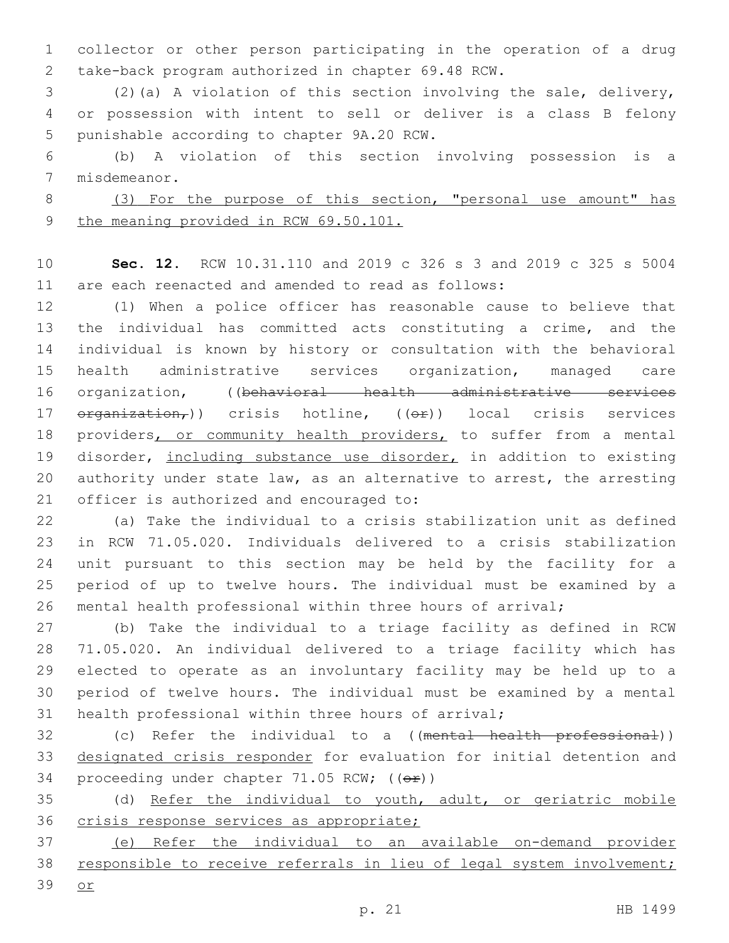collector or other person participating in the operation of a drug take-back program authorized in chapter 69.48 RCW.2

 (2)(a) A violation of this section involving the sale, delivery, or possession with intent to sell or deliver is a class B felony 5 punishable according to chapter 9A.20 RCW.

 (b) A violation of this section involving possession is a 7 misdemeanor.

 (3) For the purpose of this section, "personal use amount" has 9 the meaning provided in RCW 69.50.101.

 **Sec. 12.** RCW 10.31.110 and 2019 c 326 s 3 and 2019 c 325 s 5004 are each reenacted and amended to read as follows:

 (1) When a police officer has reasonable cause to believe that the individual has committed acts constituting a crime, and the individual is known by history or consultation with the behavioral health administrative services organization, managed care organization, ((behavioral health administrative services 17 <del>organization,</del>)) crisis hotline, ((<del>or</del>)) local crisis services 18 providers, or community health providers, to suffer from a mental 19 disorder, including substance use disorder, in addition to existing 20 authority under state law, as an alternative to arrest, the arresting 21 officer is authorized and encouraged to:

 (a) Take the individual to a crisis stabilization unit as defined in RCW 71.05.020. Individuals delivered to a crisis stabilization unit pursuant to this section may be held by the facility for a period of up to twelve hours. The individual must be examined by a mental health professional within three hours of arrival;

 (b) Take the individual to a triage facility as defined in RCW 71.05.020. An individual delivered to a triage facility which has elected to operate as an involuntary facility may be held up to a period of twelve hours. The individual must be examined by a mental health professional within three hours of arrival;

32 (c) Refer the individual to a ((mental health professional)) designated crisis responder for evaluation for initial detention and 34 proceeding under chapter  $71.05$  RCW; ( $(e^x)$ )

 (d) Refer the individual to youth, adult, or geriatric mobile crisis response services as appropriate;

 (e) Refer the individual to an available on-demand provider responsible to receive referrals in lieu of legal system involvement;

or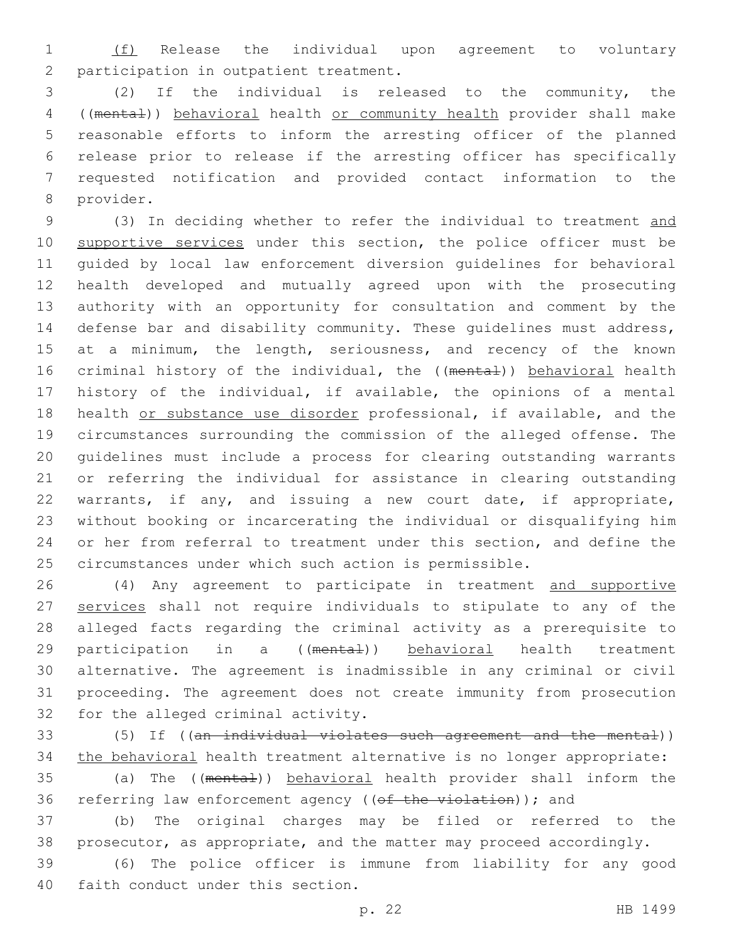(f) Release the individual upon agreement to voluntary 2 participation in outpatient treatment.

 (2) If the individual is released to the community, the ((mental)) behavioral health or community health provider shall make reasonable efforts to inform the arresting officer of the planned release prior to release if the arresting officer has specifically requested notification and provided contact information to the 8 provider.

 (3) In deciding whether to refer the individual to treatment and 10 supportive services under this section, the police officer must be guided by local law enforcement diversion guidelines for behavioral health developed and mutually agreed upon with the prosecuting authority with an opportunity for consultation and comment by the defense bar and disability community. These guidelines must address, 15 at a minimum, the length, seriousness, and recency of the known 16 criminal history of the individual, the ((mental)) behavioral health history of the individual, if available, the opinions of a mental health or substance use disorder professional, if available, and the circumstances surrounding the commission of the alleged offense. The guidelines must include a process for clearing outstanding warrants or referring the individual for assistance in clearing outstanding warrants, if any, and issuing a new court date, if appropriate, without booking or incarcerating the individual or disqualifying him or her from referral to treatment under this section, and define the circumstances under which such action is permissible.

 (4) Any agreement to participate in treatment and supportive 27 services shall not require individuals to stipulate to any of the alleged facts regarding the criminal activity as a prerequisite to 29 participation in a ((mental)) behavioral health treatment alternative. The agreement is inadmissible in any criminal or civil proceeding. The agreement does not create immunity from prosecution 32 for the alleged criminal activity.

 (5) If ((an individual violates such agreement and the mental)) the behavioral health treatment alternative is no longer appropriate:

35 (a) The ((mental)) behavioral health provider shall inform the 36 referring law enforcement agency ((of the violation)); and

 (b) The original charges may be filed or referred to the prosecutor, as appropriate, and the matter may proceed accordingly.

 (6) The police officer is immune from liability for any good 40 faith conduct under this section.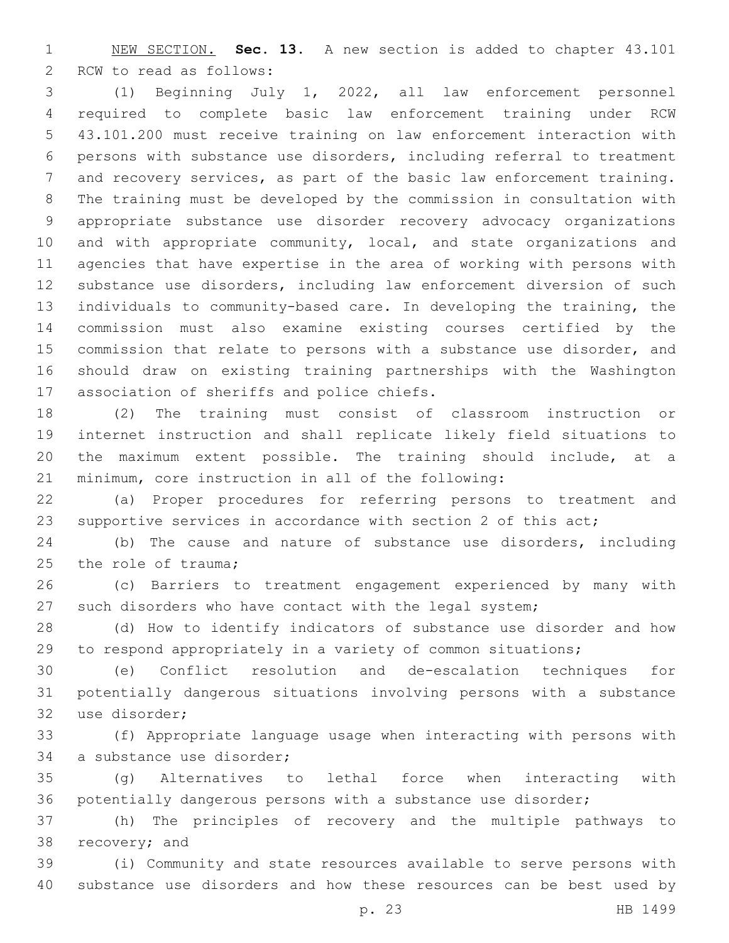NEW SECTION. **Sec. 13.** A new section is added to chapter 43.101 2 RCW to read as follows:

 (1) Beginning July 1, 2022, all law enforcement personnel required to complete basic law enforcement training under RCW 43.101.200 must receive training on law enforcement interaction with persons with substance use disorders, including referral to treatment and recovery services, as part of the basic law enforcement training. The training must be developed by the commission in consultation with appropriate substance use disorder recovery advocacy organizations 10 and with appropriate community, local, and state organizations and agencies that have expertise in the area of working with persons with substance use disorders, including law enforcement diversion of such individuals to community-based care. In developing the training, the commission must also examine existing courses certified by the commission that relate to persons with a substance use disorder, and should draw on existing training partnerships with the Washington 17 association of sheriffs and police chiefs.

 (2) The training must consist of classroom instruction or internet instruction and shall replicate likely field situations to the maximum extent possible. The training should include, at a minimum, core instruction in all of the following:

 (a) Proper procedures for referring persons to treatment and supportive services in accordance with section 2 of this act;

 (b) The cause and nature of substance use disorders, including 25 the role of trauma;

 (c) Barriers to treatment engagement experienced by many with such disorders who have contact with the legal system;

 (d) How to identify indicators of substance use disorder and how to respond appropriately in a variety of common situations;

 (e) Conflict resolution and de-escalation techniques for potentially dangerous situations involving persons with a substance 32 use disorder;

 (f) Appropriate language usage when interacting with persons with 34 a substance use disorder;

 (g) Alternatives to lethal force when interacting with potentially dangerous persons with a substance use disorder;

 (h) The principles of recovery and the multiple pathways to 38 recovery; and

 (i) Community and state resources available to serve persons with substance use disorders and how these resources can be best used by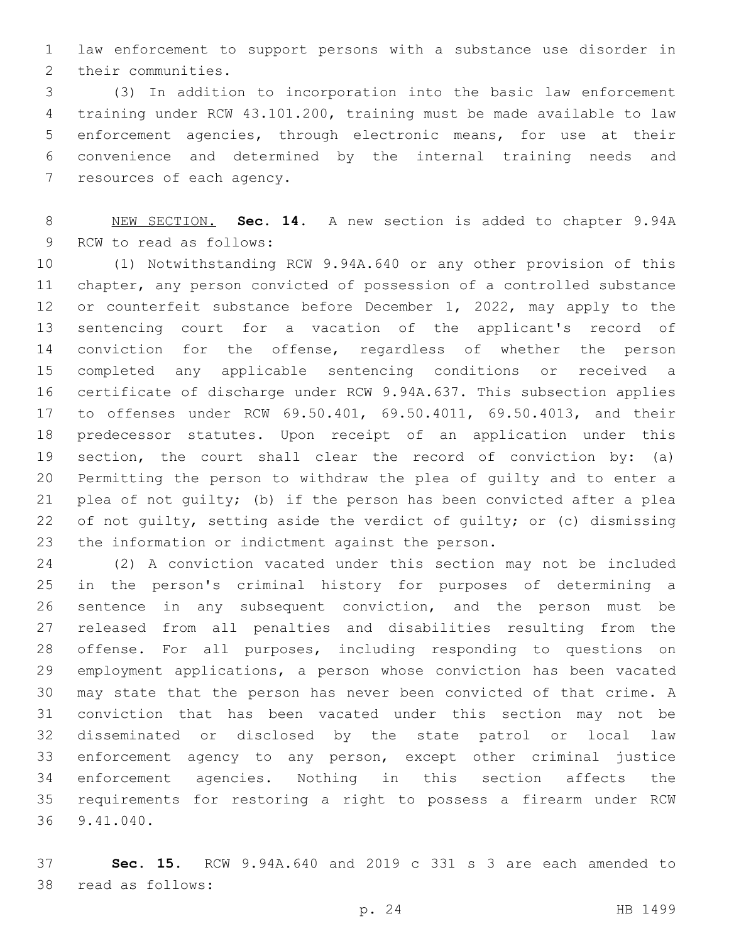law enforcement to support persons with a substance use disorder in 2 their communities.

 (3) In addition to incorporation into the basic law enforcement training under RCW 43.101.200, training must be made available to law enforcement agencies, through electronic means, for use at their convenience and determined by the internal training needs and 7 resources of each agency.

 NEW SECTION. **Sec. 14.** A new section is added to chapter 9.94A 9 RCW to read as follows:

 (1) Notwithstanding RCW 9.94A.640 or any other provision of this chapter, any person convicted of possession of a controlled substance or counterfeit substance before December 1, 2022, may apply to the sentencing court for a vacation of the applicant's record of 14 conviction for the offense, regardless of whether the person completed any applicable sentencing conditions or received a certificate of discharge under RCW 9.94A.637. This subsection applies to offenses under RCW 69.50.401, 69.50.4011, 69.50.4013, and their predecessor statutes. Upon receipt of an application under this section, the court shall clear the record of conviction by: (a) Permitting the person to withdraw the plea of guilty and to enter a plea of not guilty; (b) if the person has been convicted after a plea of not guilty, setting aside the verdict of guilty; or (c) dismissing 23 the information or indictment against the person.

 (2) A conviction vacated under this section may not be included in the person's criminal history for purposes of determining a sentence in any subsequent conviction, and the person must be released from all penalties and disabilities resulting from the offense. For all purposes, including responding to questions on employment applications, a person whose conviction has been vacated may state that the person has never been convicted of that crime. A conviction that has been vacated under this section may not be disseminated or disclosed by the state patrol or local law enforcement agency to any person, except other criminal justice enforcement agencies. Nothing in this section affects the requirements for restoring a right to possess a firearm under RCW 9.41.040.36

 **Sec. 15.** RCW 9.94A.640 and 2019 c 331 s 3 are each amended to 38 read as follows: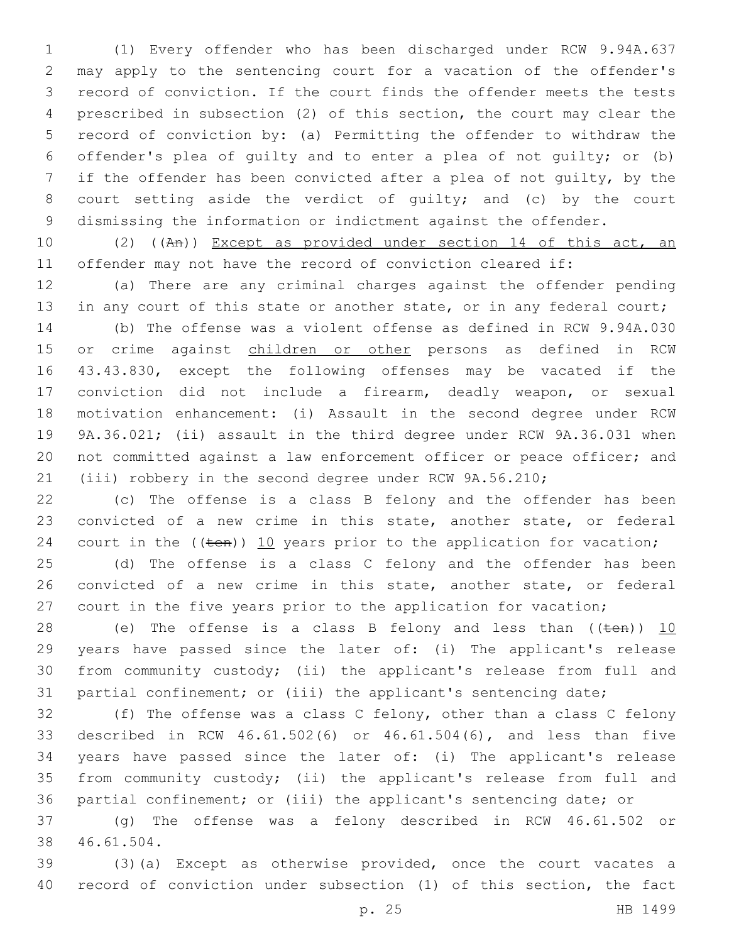(1) Every offender who has been discharged under RCW 9.94A.637 may apply to the sentencing court for a vacation of the offender's record of conviction. If the court finds the offender meets the tests prescribed in subsection (2) of this section, the court may clear the record of conviction by: (a) Permitting the offender to withdraw the offender's plea of guilty and to enter a plea of not guilty; or (b) if the offender has been convicted after a plea of not guilty, by the court setting aside the verdict of guilty; and (c) by the court dismissing the information or indictment against the offender.

 (2) ((An)) Except as provided under section 14 of this act, an offender may not have the record of conviction cleared if:

 (a) There are any criminal charges against the offender pending 13 in any court of this state or another state, or in any federal court;

 (b) The offense was a violent offense as defined in RCW 9.94A.030 15 or crime against children or other persons as defined in RCW 43.43.830, except the following offenses may be vacated if the conviction did not include a firearm, deadly weapon, or sexual motivation enhancement: (i) Assault in the second degree under RCW 9A.36.021; (ii) assault in the third degree under RCW 9A.36.031 when not committed against a law enforcement officer or peace officer; and (iii) robbery in the second degree under RCW 9A.56.210;

 (c) The offense is a class B felony and the offender has been convicted of a new crime in this state, another state, or federal 24 court in the  $((\text{ten}))$  10 years prior to the application for vacation;

 (d) The offense is a class C felony and the offender has been convicted of a new crime in this state, another state, or federal 27 court in the five years prior to the application for vacation;

28 (e) The offense is a class B felony and less than  $((\text{ten}))$   $\underline{10}$  years have passed since the later of: (i) The applicant's release from community custody; (ii) the applicant's release from full and partial confinement; or (iii) the applicant's sentencing date;

 (f) The offense was a class C felony, other than a class C felony described in RCW 46.61.502(6) or 46.61.504(6), and less than five years have passed since the later of: (i) The applicant's release from community custody; (ii) the applicant's release from full and partial confinement; or (iii) the applicant's sentencing date; or

 (g) The offense was a felony described in RCW 46.61.502 or 38 46.61.504.

 (3)(a) Except as otherwise provided, once the court vacates a record of conviction under subsection (1) of this section, the fact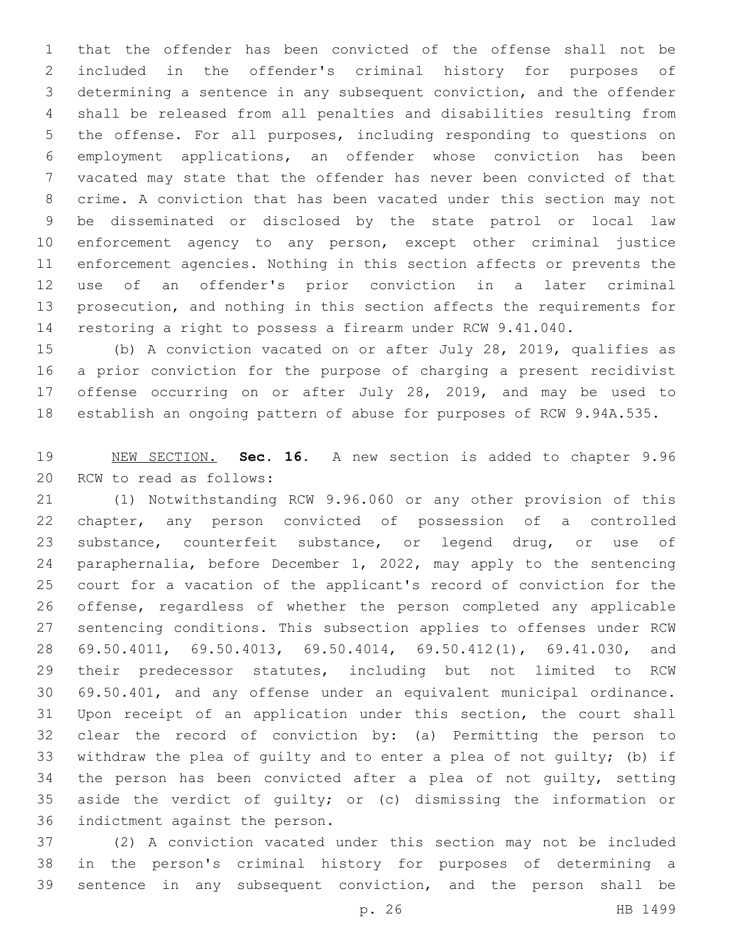that the offender has been convicted of the offense shall not be included in the offender's criminal history for purposes of determining a sentence in any subsequent conviction, and the offender shall be released from all penalties and disabilities resulting from the offense. For all purposes, including responding to questions on employment applications, an offender whose conviction has been vacated may state that the offender has never been convicted of that crime. A conviction that has been vacated under this section may not be disseminated or disclosed by the state patrol or local law enforcement agency to any person, except other criminal justice enforcement agencies. Nothing in this section affects or prevents the use of an offender's prior conviction in a later criminal prosecution, and nothing in this section affects the requirements for restoring a right to possess a firearm under RCW 9.41.040.

 (b) A conviction vacated on or after July 28, 2019, qualifies as a prior conviction for the purpose of charging a present recidivist offense occurring on or after July 28, 2019, and may be used to establish an ongoing pattern of abuse for purposes of RCW 9.94A.535.

 NEW SECTION. **Sec. 16.** A new section is added to chapter 9.96 20 RCW to read as follows:

 (1) Notwithstanding RCW 9.96.060 or any other provision of this chapter, any person convicted of possession of a controlled substance, counterfeit substance, or legend drug, or use of paraphernalia, before December 1, 2022, may apply to the sentencing court for a vacation of the applicant's record of conviction for the offense, regardless of whether the person completed any applicable sentencing conditions. This subsection applies to offenses under RCW 69.50.4011, 69.50.4013, 69.50.4014, 69.50.412(1), 69.41.030, and their predecessor statutes, including but not limited to RCW 69.50.401, and any offense under an equivalent municipal ordinance. Upon receipt of an application under this section, the court shall clear the record of conviction by: (a) Permitting the person to withdraw the plea of guilty and to enter a plea of not guilty; (b) if the person has been convicted after a plea of not guilty, setting aside the verdict of guilty; or (c) dismissing the information or 36 indictment against the person.

 (2) A conviction vacated under this section may not be included in the person's criminal history for purposes of determining a sentence in any subsequent conviction, and the person shall be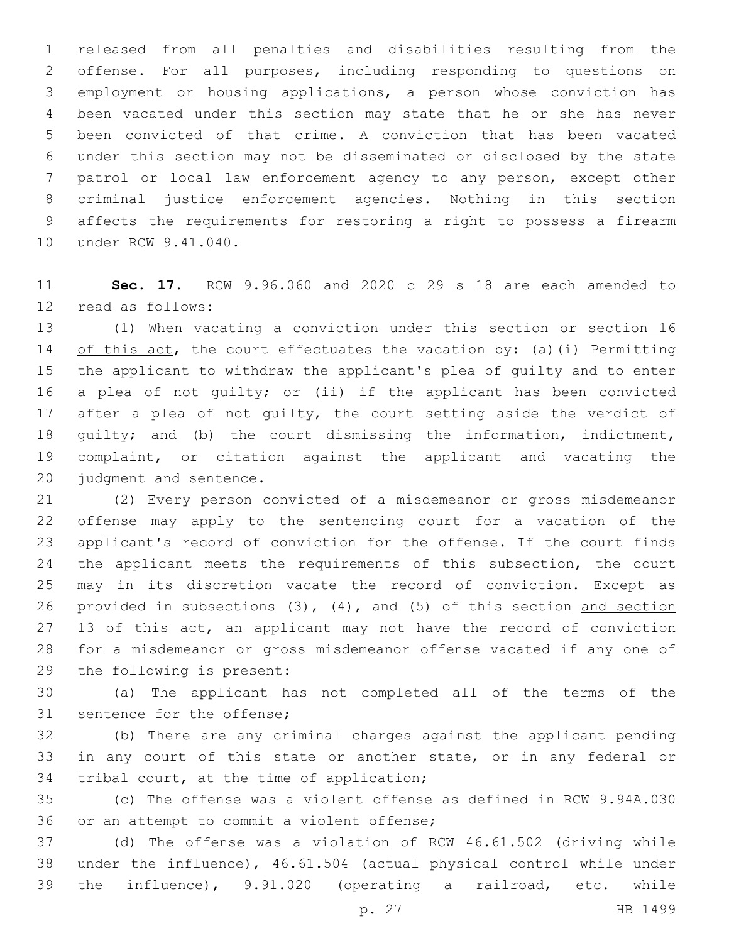released from all penalties and disabilities resulting from the offense. For all purposes, including responding to questions on employment or housing applications, a person whose conviction has been vacated under this section may state that he or she has never been convicted of that crime. A conviction that has been vacated under this section may not be disseminated or disclosed by the state patrol or local law enforcement agency to any person, except other criminal justice enforcement agencies. Nothing in this section affects the requirements for restoring a right to possess a firearm 10 under RCW 9.41.040.

 **Sec. 17.** RCW 9.96.060 and 2020 c 29 s 18 are each amended to 12 read as follows:

13 (1) When vacating a conviction under this section or section 16 14 of this act, the court effectuates the vacation by: (a)(i) Permitting the applicant to withdraw the applicant's plea of guilty and to enter a plea of not guilty; or (ii) if the applicant has been convicted 17 after a plea of not quilty, the court setting aside the verdict of guilty; and (b) the court dismissing the information, indictment, complaint, or citation against the applicant and vacating the 20 judgment and sentence.

 (2) Every person convicted of a misdemeanor or gross misdemeanor offense may apply to the sentencing court for a vacation of the applicant's record of conviction for the offense. If the court finds 24 the applicant meets the requirements of this subsection, the court may in its discretion vacate the record of conviction. Except as provided in subsections (3), (4), and (5) of this section and section 27 13 of this act, an applicant may not have the record of conviction for a misdemeanor or gross misdemeanor offense vacated if any one of 29 the following is present:

 (a) The applicant has not completed all of the terms of the 31 sentence for the offense;

 (b) There are any criminal charges against the applicant pending in any court of this state or another state, or in any federal or 34 tribal court, at the time of application;

 (c) The offense was a violent offense as defined in RCW 9.94A.030 36 or an attempt to commit a violent offense;

 (d) The offense was a violation of RCW 46.61.502 (driving while under the influence), 46.61.504 (actual physical control while under the influence), 9.91.020 (operating a railroad, etc. while

p. 27 HB 1499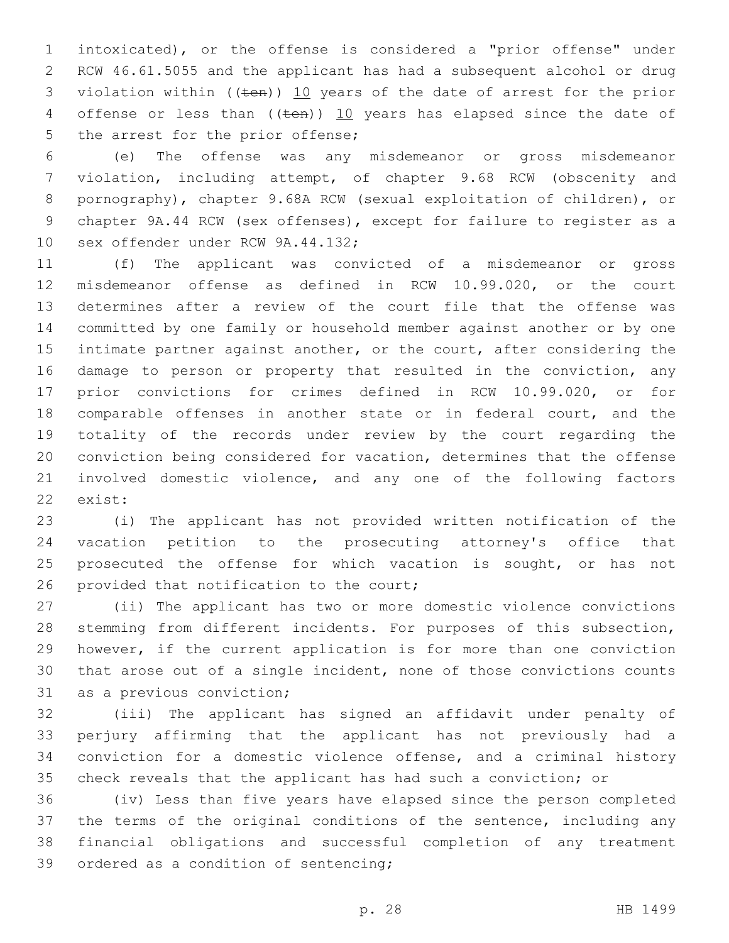intoxicated), or the offense is considered a "prior offense" under RCW 46.61.5055 and the applicant has had a subsequent alcohol or drug 3 violation within ((ten)) 10 years of the date of arrest for the prior 4 offense or less than  $((\text{ten}))$  10 years has elapsed since the date of 5 the arrest for the prior offense;

 (e) The offense was any misdemeanor or gross misdemeanor violation, including attempt, of chapter 9.68 RCW (obscenity and pornography), chapter 9.68A RCW (sexual exploitation of children), or chapter 9A.44 RCW (sex offenses), except for failure to register as a 10 sex offender under RCW 9A.44.132;

 (f) The applicant was convicted of a misdemeanor or gross misdemeanor offense as defined in RCW 10.99.020, or the court determines after a review of the court file that the offense was committed by one family or household member against another or by one 15 intimate partner against another, or the court, after considering the damage to person or property that resulted in the conviction, any prior convictions for crimes defined in RCW 10.99.020, or for comparable offenses in another state or in federal court, and the totality of the records under review by the court regarding the conviction being considered for vacation, determines that the offense involved domestic violence, and any one of the following factors 22 exist:

 (i) The applicant has not provided written notification of the vacation petition to the prosecuting attorney's office that 25 prosecuted the offense for which vacation is sought, or has not 26 provided that notification to the court;

 (ii) The applicant has two or more domestic violence convictions stemming from different incidents. For purposes of this subsection, however, if the current application is for more than one conviction that arose out of a single incident, none of those convictions counts 31 as a previous conviction;

 (iii) The applicant has signed an affidavit under penalty of perjury affirming that the applicant has not previously had a conviction for a domestic violence offense, and a criminal history check reveals that the applicant has had such a conviction; or

 (iv) Less than five years have elapsed since the person completed the terms of the original conditions of the sentence, including any financial obligations and successful completion of any treatment 39 ordered as a condition of sentencing;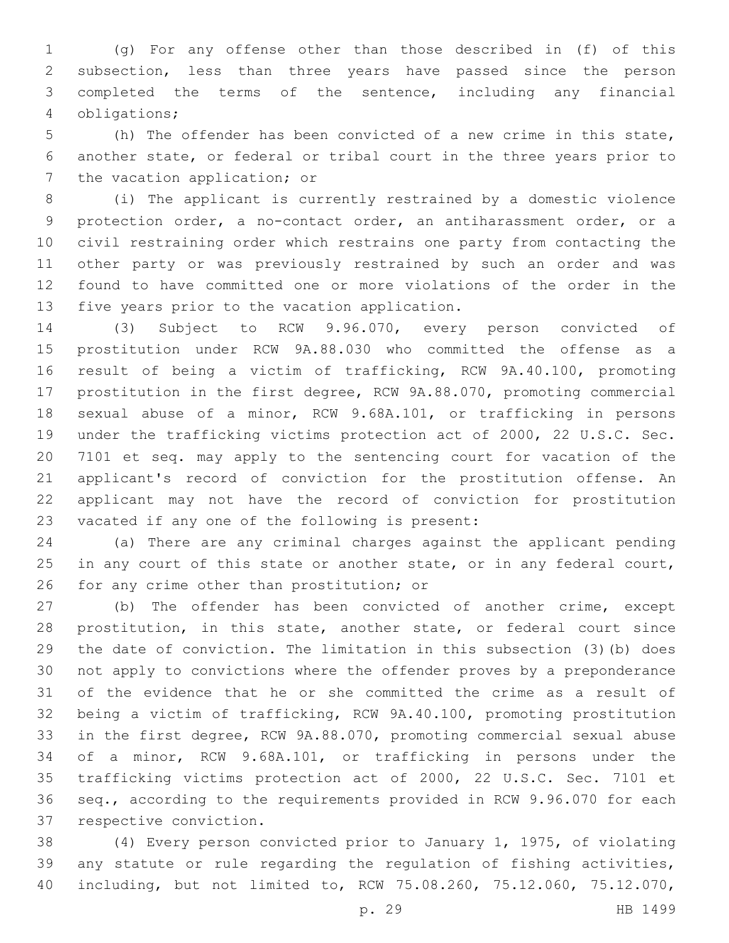(g) For any offense other than those described in (f) of this subsection, less than three years have passed since the person completed the terms of the sentence, including any financial obligations;4

 (h) The offender has been convicted of a new crime in this state, another state, or federal or tribal court in the three years prior to 7 the vacation application; or

 (i) The applicant is currently restrained by a domestic violence protection order, a no-contact order, an antiharassment order, or a civil restraining order which restrains one party from contacting the other party or was previously restrained by such an order and was found to have committed one or more violations of the order in the 13 five years prior to the vacation application.

 (3) Subject to RCW 9.96.070, every person convicted of prostitution under RCW 9A.88.030 who committed the offense as a result of being a victim of trafficking, RCW 9A.40.100, promoting prostitution in the first degree, RCW 9A.88.070, promoting commercial sexual abuse of a minor, RCW 9.68A.101, or trafficking in persons under the trafficking victims protection act of 2000, 22 U.S.C. Sec. 7101 et seq. may apply to the sentencing court for vacation of the applicant's record of conviction for the prostitution offense. An applicant may not have the record of conviction for prostitution 23 vacated if any one of the following is present:

 (a) There are any criminal charges against the applicant pending 25 in any court of this state or another state, or in any federal court, 26 for any crime other than prostitution; or

 (b) The offender has been convicted of another crime, except prostitution, in this state, another state, or federal court since the date of conviction. The limitation in this subsection (3)(b) does not apply to convictions where the offender proves by a preponderance of the evidence that he or she committed the crime as a result of being a victim of trafficking, RCW 9A.40.100, promoting prostitution in the first degree, RCW 9A.88.070, promoting commercial sexual abuse of a minor, RCW 9.68A.101, or trafficking in persons under the trafficking victims protection act of 2000, 22 U.S.C. Sec. 7101 et seq., according to the requirements provided in RCW 9.96.070 for each 37 respective conviction.

 (4) Every person convicted prior to January 1, 1975, of violating any statute or rule regarding the regulation of fishing activities, including, but not limited to, RCW 75.08.260, 75.12.060, 75.12.070,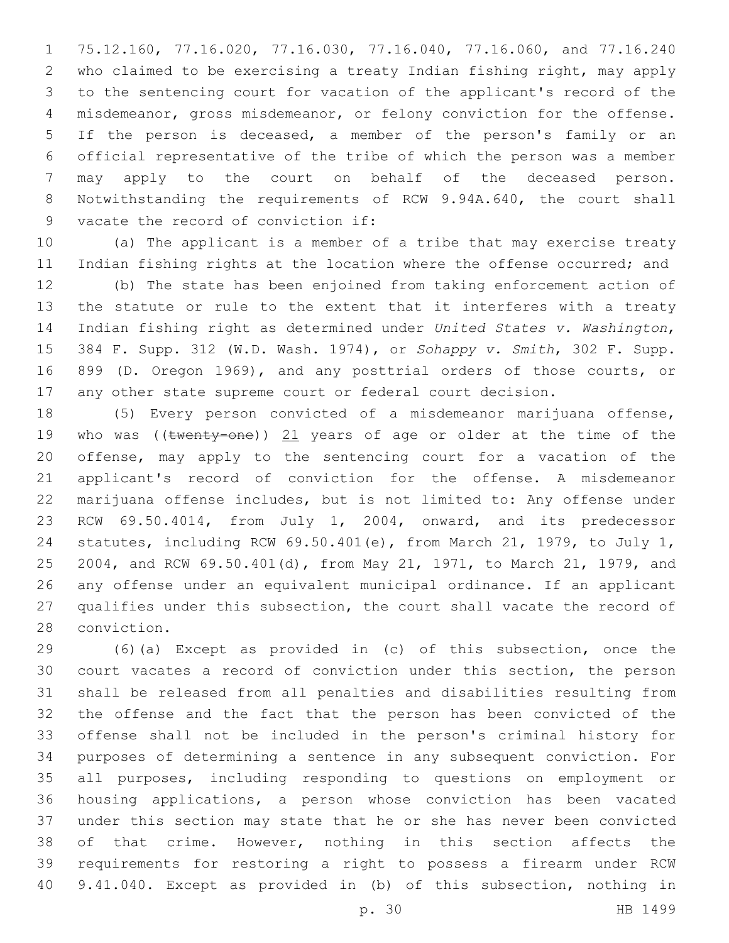75.12.160, 77.16.020, 77.16.030, 77.16.040, 77.16.060, and 77.16.240 who claimed to be exercising a treaty Indian fishing right, may apply to the sentencing court for vacation of the applicant's record of the misdemeanor, gross misdemeanor, or felony conviction for the offense. If the person is deceased, a member of the person's family or an official representative of the tribe of which the person was a member may apply to the court on behalf of the deceased person. Notwithstanding the requirements of RCW 9.94A.640, the court shall 9 vacate the record of conviction if:

 (a) The applicant is a member of a tribe that may exercise treaty 11 Indian fishing rights at the location where the offense occurred; and

 (b) The state has been enjoined from taking enforcement action of the statute or rule to the extent that it interferes with a treaty Indian fishing right as determined under *United States v. Washington*, 384 F. Supp. 312 (W.D. Wash. 1974), or *Sohappy v. Smith*, 302 F. Supp. 899 (D. Oregon 1969), and any posttrial orders of those courts, or any other state supreme court or federal court decision.

 (5) Every person convicted of a misdemeanor marijuana offense, 19 who was (( $t$ wenty-one)) 21 years of age or older at the time of the offense, may apply to the sentencing court for a vacation of the applicant's record of conviction for the offense. A misdemeanor marijuana offense includes, but is not limited to: Any offense under RCW 69.50.4014, from July 1, 2004, onward, and its predecessor statutes, including RCW 69.50.401(e), from March 21, 1979, to July 1, 2004, and RCW 69.50.401(d), from May 21, 1971, to March 21, 1979, and any offense under an equivalent municipal ordinance. If an applicant qualifies under this subsection, the court shall vacate the record of 28 conviction.

 (6)(a) Except as provided in (c) of this subsection, once the court vacates a record of conviction under this section, the person shall be released from all penalties and disabilities resulting from the offense and the fact that the person has been convicted of the offense shall not be included in the person's criminal history for purposes of determining a sentence in any subsequent conviction. For all purposes, including responding to questions on employment or housing applications, a person whose conviction has been vacated under this section may state that he or she has never been convicted of that crime. However, nothing in this section affects the requirements for restoring a right to possess a firearm under RCW 9.41.040. Except as provided in (b) of this subsection, nothing in

p. 30 HB 1499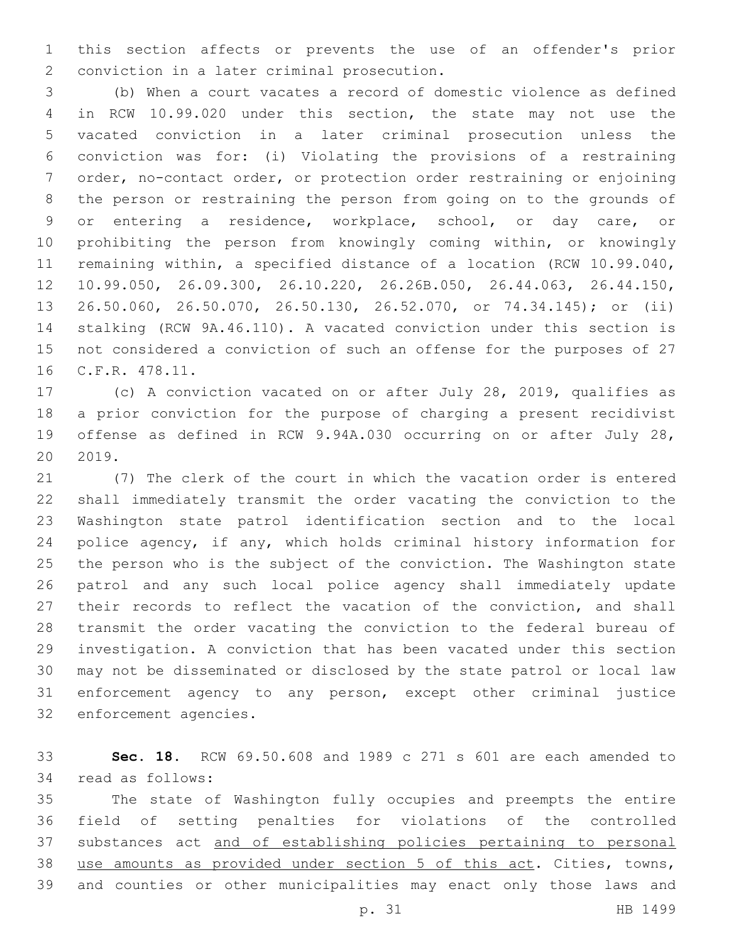this section affects or prevents the use of an offender's prior 2 conviction in a later criminal prosecution.

 (b) When a court vacates a record of domestic violence as defined in RCW 10.99.020 under this section, the state may not use the vacated conviction in a later criminal prosecution unless the conviction was for: (i) Violating the provisions of a restraining order, no-contact order, or protection order restraining or enjoining the person or restraining the person from going on to the grounds of or entering a residence, workplace, school, or day care, or prohibiting the person from knowingly coming within, or knowingly remaining within, a specified distance of a location (RCW 10.99.040, 10.99.050, 26.09.300, 26.10.220, 26.26B.050, 26.44.063, 26.44.150, 26.50.060, 26.50.070, 26.50.130, 26.52.070, or 74.34.145); or (ii) stalking (RCW 9A.46.110). A vacated conviction under this section is not considered a conviction of such an offense for the purposes of 27 16 C.F.R. 478.11.

 (c) A conviction vacated on or after July 28, 2019, qualifies as a prior conviction for the purpose of charging a present recidivist offense as defined in RCW 9.94A.030 occurring on or after July 28, 2019.

 (7) The clerk of the court in which the vacation order is entered shall immediately transmit the order vacating the conviction to the Washington state patrol identification section and to the local police agency, if any, which holds criminal history information for the person who is the subject of the conviction. The Washington state patrol and any such local police agency shall immediately update 27 their records to reflect the vacation of the conviction, and shall transmit the order vacating the conviction to the federal bureau of investigation. A conviction that has been vacated under this section may not be disseminated or disclosed by the state patrol or local law enforcement agency to any person, except other criminal justice 32 enforcement agencies.

 **Sec. 18.** RCW 69.50.608 and 1989 c 271 s 601 are each amended to 34 read as follows:

 The state of Washington fully occupies and preempts the entire field of setting penalties for violations of the controlled substances act and of establishing policies pertaining to personal use amounts as provided under section 5 of this act. Cities, towns, and counties or other municipalities may enact only those laws and